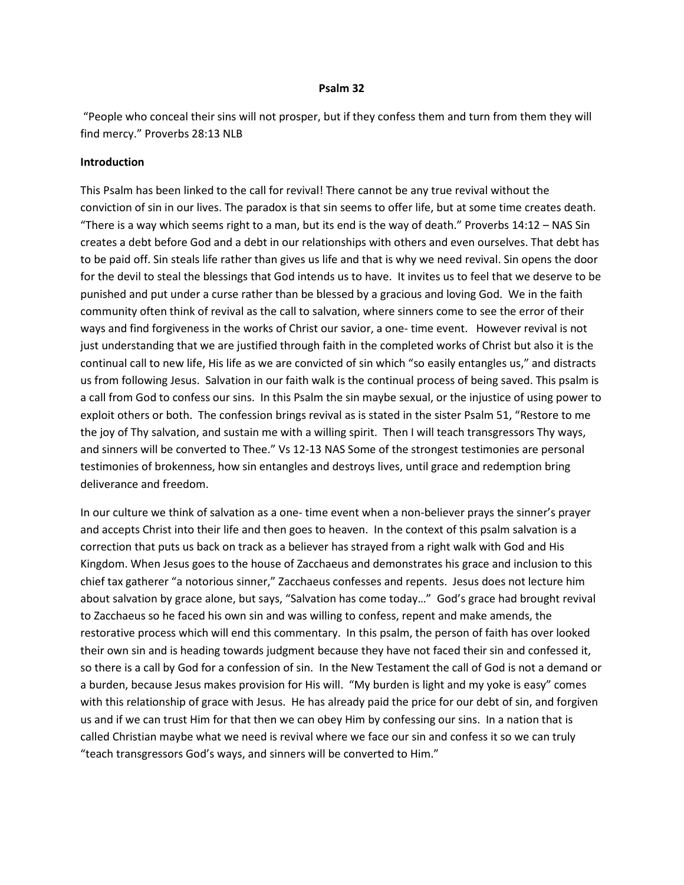#### **Psalm 32**

 "People who conceal their sins will not prosper, but if they confess them and turn from them they will find mercy." Proverbs 28:13 NLB

### **Introduction**

This Psalm has been linked to the call for revival! There cannot be any true revival without the conviction of sin in our lives. The paradox is that sin seems to offer life, but at some time creates death. "There is a way which seems right to a man, but its end is the way of death." Proverbs 14:12 – NAS Sin creates a debt before God and a debt in our relationships with others and even ourselves. That debt has to be paid off. Sin steals life rather than gives us life and that is why we need revival. Sin opens the door for the devil to steal the blessings that God intends us to have. It invites us to feel that we deserve to be punished and put under a curse rather than be blessed by a gracious and loving God. We in the faith community often think of revival as the call to salvation, where sinners come to see the error of their ways and find forgiveness in the works of Christ our savior, a one- time event. However revival is not just understanding that we are justified through faith in the completed works of Christ but also it is the continual call to new life, His life as we are convicted of sin which "so easily entangles us," and distracts us from following Jesus. Salvation in our faith walk is the continual process of being saved. This psalm is a call from God to confess our sins. In this Psalm the sin maybe sexual, or the injustice of using power to exploit others or both. The confession brings revival as is stated in the sister Psalm 51, "Restore to me the joy of Thy salvation, and sustain me with a willing spirit. Then I will teach transgressors Thy ways, and sinners will be converted to Thee." Vs 12-13 NAS Some of the strongest testimonies are personal testimonies of brokenness, how sin entangles and destroys lives, until grace and redemption bring deliverance and freedom.

In our culture we think of salvation as a one- time event when a non-believer prays the sinner's prayer and accepts Christ into their life and then goes to heaven. In the context of this psalm salvation is a correction that puts us back on track as a believer has strayed from a right walk with God and His Kingdom. When Jesus goes to the house of Zacchaeus and demonstrates his grace and inclusion to this chief tax gatherer "a notorious sinner," Zacchaeus confesses and repents. Jesus does not lecture him about salvation by grace alone, but says, "Salvation has come today…" God's grace had brought revival to Zacchaeus so he faced his own sin and was willing to confess, repent and make amends, the restorative process which will end this commentary. In this psalm, the person of faith has over looked their own sin and is heading towards judgment because they have not faced their sin and confessed it, so there is a call by God for a confession of sin. In the New Testament the call of God is not a demand or a burden, because Jesus makes provision for His will. "My burden is light and my yoke is easy" comes with this relationship of grace with Jesus. He has already paid the price for our debt of sin, and forgiven us and if we can trust Him for that then we can obey Him by confessing our sins. In a nation that is called Christian maybe what we need is revival where we face our sin and confess it so we can truly "teach transgressors God's ways, and sinners will be converted to Him."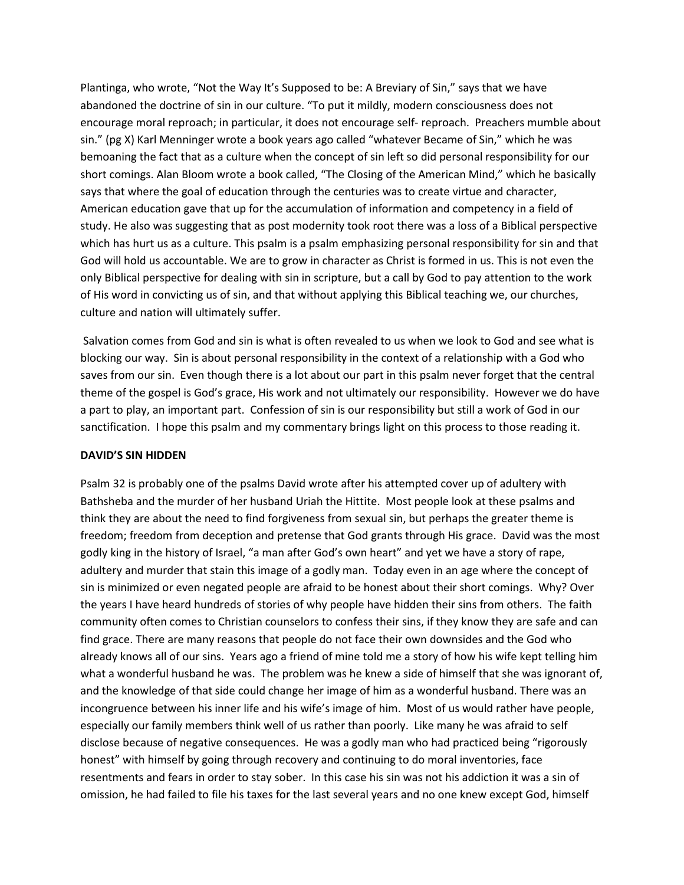Plantinga, who wrote, "Not the Way It's Supposed to be: A Breviary of Sin," says that we have abandoned the doctrine of sin in our culture. "To put it mildly, modern consciousness does not encourage moral reproach; in particular, it does not encourage self- reproach. Preachers mumble about sin." (pg X) Karl Menninger wrote a book years ago called "whatever Became of Sin," which he was bemoaning the fact that as a culture when the concept of sin left so did personal responsibility for our short comings. Alan Bloom wrote a book called, "The Closing of the American Mind," which he basically says that where the goal of education through the centuries was to create virtue and character, American education gave that up for the accumulation of information and competency in a field of study. He also was suggesting that as post modernity took root there was a loss of a Biblical perspective which has hurt us as a culture. This psalm is a psalm emphasizing personal responsibility for sin and that God will hold us accountable. We are to grow in character as Christ is formed in us. This is not even the only Biblical perspective for dealing with sin in scripture, but a call by God to pay attention to the work of His word in convicting us of sin, and that without applying this Biblical teaching we, our churches, culture and nation will ultimately suffer.

 Salvation comes from God and sin is what is often revealed to us when we look to God and see what is blocking our way. Sin is about personal responsibility in the context of a relationship with a God who saves from our sin. Even though there is a lot about our part in this psalm never forget that the central theme of the gospel is God's grace, His work and not ultimately our responsibility. However we do have a part to play, an important part. Confession of sin is our responsibility but still a work of God in our sanctification. I hope this psalm and my commentary brings light on this process to those reading it.

#### **DAVID'S SIN HIDDEN**

Psalm 32 is probably one of the psalms David wrote after his attempted cover up of adultery with Bathsheba and the murder of her husband Uriah the Hittite. Most people look at these psalms and think they are about the need to find forgiveness from sexual sin, but perhaps the greater theme is freedom; freedom from deception and pretense that God grants through His grace. David was the most godly king in the history of Israel, "a man after God's own heart" and yet we have a story of rape, adultery and murder that stain this image of a godly man. Today even in an age where the concept of sin is minimized or even negated people are afraid to be honest about their short comings. Why? Over the years I have heard hundreds of stories of why people have hidden their sins from others. The faith community often comes to Christian counselors to confess their sins, if they know they are safe and can find grace. There are many reasons that people do not face their own downsides and the God who already knows all of our sins. Years ago a friend of mine told me a story of how his wife kept telling him what a wonderful husband he was. The problem was he knew a side of himself that she was ignorant of, and the knowledge of that side could change her image of him as a wonderful husband. There was an incongruence between his inner life and his wife's image of him. Most of us would rather have people, especially our family members think well of us rather than poorly. Like many he was afraid to self disclose because of negative consequences. He was a godly man who had practiced being "rigorously honest" with himself by going through recovery and continuing to do moral inventories, face resentments and fears in order to stay sober. In this case his sin was not his addiction it was a sin of omission, he had failed to file his taxes for the last several years and no one knew except God, himself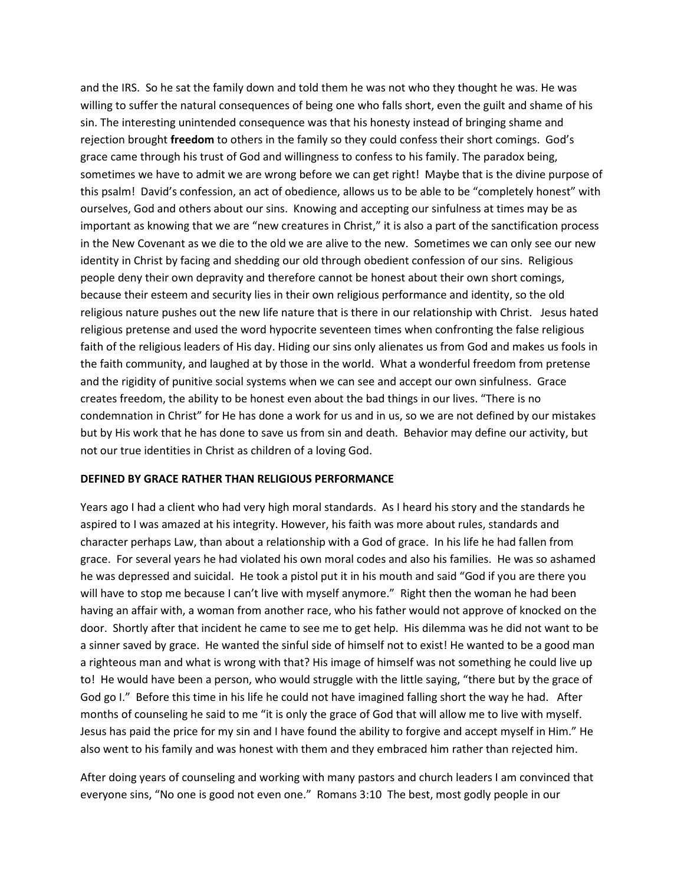and the IRS. So he sat the family down and told them he was not who they thought he was. He was willing to suffer the natural consequences of being one who falls short, even the guilt and shame of his sin. The interesting unintended consequence was that his honesty instead of bringing shame and rejection brought **freedom** to others in the family so they could confess their short comings. God's grace came through his trust of God and willingness to confess to his family. The paradox being, sometimes we have to admit we are wrong before we can get right! Maybe that is the divine purpose of this psalm! David's confession, an act of obedience, allows us to be able to be "completely honest" with ourselves, God and others about our sins. Knowing and accepting our sinfulness at times may be as important as knowing that we are "new creatures in Christ," it is also a part of the sanctification process in the New Covenant as we die to the old we are alive to the new. Sometimes we can only see our new identity in Christ by facing and shedding our old through obedient confession of our sins. Religious people deny their own depravity and therefore cannot be honest about their own short comings, because their esteem and security lies in their own religious performance and identity, so the old religious nature pushes out the new life nature that is there in our relationship with Christ. Jesus hated religious pretense and used the word hypocrite seventeen times when confronting the false religious faith of the religious leaders of His day. Hiding our sins only alienates us from God and makes us fools in the faith community, and laughed at by those in the world. What a wonderful freedom from pretense and the rigidity of punitive social systems when we can see and accept our own sinfulness. Grace creates freedom, the ability to be honest even about the bad things in our lives. "There is no condemnation in Christ" for He has done a work for us and in us, so we are not defined by our mistakes but by His work that he has done to save us from sin and death. Behavior may define our activity, but not our true identities in Christ as children of a loving God.

#### **DEFINED BY GRACE RATHER THAN RELIGIOUS PERFORMANCE**

Years ago I had a client who had very high moral standards. As I heard his story and the standards he aspired to I was amazed at his integrity. However, his faith was more about rules, standards and character perhaps Law, than about a relationship with a God of grace. In his life he had fallen from grace. For several years he had violated his own moral codes and also his families. He was so ashamed he was depressed and suicidal. He took a pistol put it in his mouth and said "God if you are there you will have to stop me because I can't live with myself anymore." Right then the woman he had been having an affair with, a woman from another race, who his father would not approve of knocked on the door. Shortly after that incident he came to see me to get help. His dilemma was he did not want to be a sinner saved by grace. He wanted the sinful side of himself not to exist! He wanted to be a good man a righteous man and what is wrong with that? His image of himself was not something he could live up to! He would have been a person, who would struggle with the little saying, "there but by the grace of God go I." Before this time in his life he could not have imagined falling short the way he had. After months of counseling he said to me "it is only the grace of God that will allow me to live with myself. Jesus has paid the price for my sin and I have found the ability to forgive and accept myself in Him." He also went to his family and was honest with them and they embraced him rather than rejected him.

After doing years of counseling and working with many pastors and church leaders I am convinced that everyone sins, "No one is good not even one." Romans 3:10 The best, most godly people in our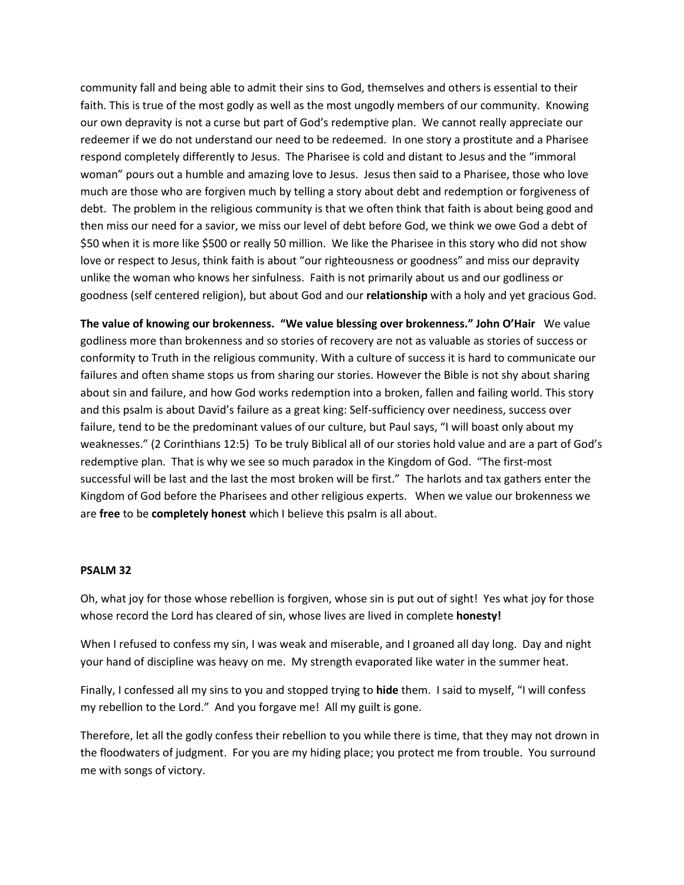community fall and being able to admit their sins to God, themselves and others is essential to their faith. This is true of the most godly as well as the most ungodly members of our community. Knowing our own depravity is not a curse but part of God's redemptive plan. We cannot really appreciate our redeemer if we do not understand our need to be redeemed. In one story a prostitute and a Pharisee respond completely differently to Jesus. The Pharisee is cold and distant to Jesus and the "immoral woman" pours out a humble and amazing love to Jesus. Jesus then said to a Pharisee, those who love much are those who are forgiven much by telling a story about debt and redemption or forgiveness of debt. The problem in the religious community is that we often think that faith is about being good and then miss our need for a savior, we miss our level of debt before God, we think we owe God a debt of \$50 when it is more like \$500 or really 50 million. We like the Pharisee in this story who did not show love or respect to Jesus, think faith is about "our righteousness or goodness" and miss our depravity unlike the woman who knows her sinfulness. Faith is not primarily about us and our godliness or goodness (self centered religion), but about God and our **relationship** with a holy and yet gracious God.

**The value of knowing our brokenness. "We value blessing over brokenness." John O'Hair** We value godliness more than brokenness and so stories of recovery are not as valuable as stories of success or conformity to Truth in the religious community. With a culture of success it is hard to communicate our failures and often shame stops us from sharing our stories. However the Bible is not shy about sharing about sin and failure, and how God works redemption into a broken, fallen and failing world. This story and this psalm is about David's failure as a great king: Self-sufficiency over neediness, success over failure, tend to be the predominant values of our culture, but Paul says, "I will boast only about my weaknesses." (2 Corinthians 12:5) To be truly Biblical all of our stories hold value and are a part of God's redemptive plan. That is why we see so much paradox in the Kingdom of God. "The first-most successful will be last and the last the most broken will be first." The harlots and tax gathers enter the Kingdom of God before the Pharisees and other religious experts. When we value our brokenness we are **free** to be **completely honest** which I believe this psalm is all about.

#### **PSALM 32**

Oh, what joy for those whose rebellion is forgiven, whose sin is put out of sight! Yes what joy for those whose record the Lord has cleared of sin, whose lives are lived in complete **honesty!** 

When I refused to confess my sin, I was weak and miserable, and I groaned all day long. Day and night your hand of discipline was heavy on me. My strength evaporated like water in the summer heat.

Finally, I confessed all my sins to you and stopped trying to **hide** them. I said to myself, "I will confess my rebellion to the Lord." And you forgave me! All my guilt is gone.

Therefore, let all the godly confess their rebellion to you while there is time, that they may not drown in the floodwaters of judgment. For you are my hiding place; you protect me from trouble. You surround me with songs of victory.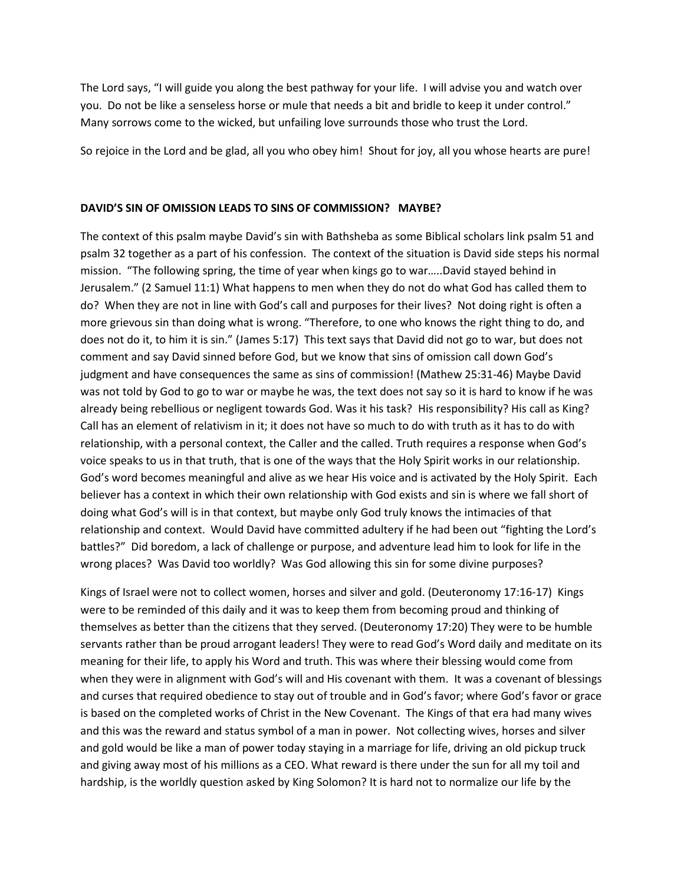The Lord says, "I will guide you along the best pathway for your life. I will advise you and watch over you. Do not be like a senseless horse or mule that needs a bit and bridle to keep it under control." Many sorrows come to the wicked, but unfailing love surrounds those who trust the Lord.

So rejoice in the Lord and be glad, all you who obey him! Shout for joy, all you whose hearts are pure!

### **DAVID'S SIN OF OMISSION LEADS TO SINS OF COMMISSION? MAYBE?**

The context of this psalm maybe David's sin with Bathsheba as some Biblical scholars link psalm 51 and psalm 32 together as a part of his confession. The context of the situation is David side steps his normal mission. "The following spring, the time of year when kings go to war…..David stayed behind in Jerusalem." (2 Samuel 11:1) What happens to men when they do not do what God has called them to do? When they are not in line with God's call and purposes for their lives? Not doing right is often a more grievous sin than doing what is wrong. "Therefore, to one who knows the right thing to do, and does not do it, to him it is sin." (James 5:17) This text says that David did not go to war, but does not comment and say David sinned before God, but we know that sins of omission call down God's judgment and have consequences the same as sins of commission! (Mathew 25:31-46) Maybe David was not told by God to go to war or maybe he was, the text does not say so it is hard to know if he was already being rebellious or negligent towards God. Was it his task? His responsibility? His call as King? Call has an element of relativism in it; it does not have so much to do with truth as it has to do with relationship, with a personal context, the Caller and the called. Truth requires a response when God's voice speaks to us in that truth, that is one of the ways that the Holy Spirit works in our relationship. God's word becomes meaningful and alive as we hear His voice and is activated by the Holy Spirit. Each believer has a context in which their own relationship with God exists and sin is where we fall short of doing what God's will is in that context, but maybe only God truly knows the intimacies of that relationship and context. Would David have committed adultery if he had been out "fighting the Lord's battles?" Did boredom, a lack of challenge or purpose, and adventure lead him to look for life in the wrong places? Was David too worldly? Was God allowing this sin for some divine purposes?

Kings of Israel were not to collect women, horses and silver and gold. (Deuteronomy 17:16-17) Kings were to be reminded of this daily and it was to keep them from becoming proud and thinking of themselves as better than the citizens that they served. (Deuteronomy 17:20) They were to be humble servants rather than be proud arrogant leaders! They were to read God's Word daily and meditate on its meaning for their life, to apply his Word and truth. This was where their blessing would come from when they were in alignment with God's will and His covenant with them. It was a covenant of blessings and curses that required obedience to stay out of trouble and in God's favor; where God's favor or grace is based on the completed works of Christ in the New Covenant. The Kings of that era had many wives and this was the reward and status symbol of a man in power. Not collecting wives, horses and silver and gold would be like a man of power today staying in a marriage for life, driving an old pickup truck and giving away most of his millions as a CEO. What reward is there under the sun for all my toil and hardship, is the worldly question asked by King Solomon? It is hard not to normalize our life by the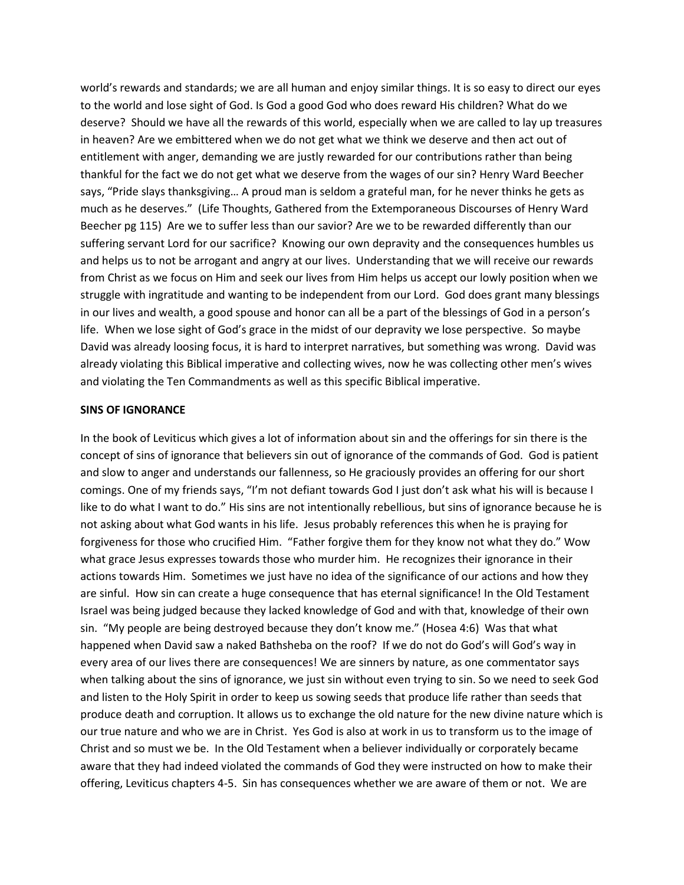world's rewards and standards; we are all human and enjoy similar things. It is so easy to direct our eyes to the world and lose sight of God. Is God a good God who does reward His children? What do we deserve? Should we have all the rewards of this world, especially when we are called to lay up treasures in heaven? Are we embittered when we do not get what we think we deserve and then act out of entitlement with anger, demanding we are justly rewarded for our contributions rather than being thankful for the fact we do not get what we deserve from the wages of our sin? Henry Ward Beecher says, "Pride slays thanksgiving… A proud man is seldom a grateful man, for he never thinks he gets as much as he deserves." (Life Thoughts, Gathered from the Extemporaneous Discourses of Henry Ward Beecher pg 115) Are we to suffer less than our savior? Are we to be rewarded differently than our suffering servant Lord for our sacrifice? Knowing our own depravity and the consequences humbles us and helps us to not be arrogant and angry at our lives. Understanding that we will receive our rewards from Christ as we focus on Him and seek our lives from Him helps us accept our lowly position when we struggle with ingratitude and wanting to be independent from our Lord. God does grant many blessings in our lives and wealth, a good spouse and honor can all be a part of the blessings of God in a person's life. When we lose sight of God's grace in the midst of our depravity we lose perspective. So maybe David was already loosing focus, it is hard to interpret narratives, but something was wrong. David was already violating this Biblical imperative and collecting wives, now he was collecting other men's wives and violating the Ten Commandments as well as this specific Biblical imperative.

#### **SINS OF IGNORANCE**

In the book of Leviticus which gives a lot of information about sin and the offerings for sin there is the concept of sins of ignorance that believers sin out of ignorance of the commands of God. God is patient and slow to anger and understands our fallenness, so He graciously provides an offering for our short comings. One of my friends says, "I'm not defiant towards God I just don't ask what his will is because I like to do what I want to do." His sins are not intentionally rebellious, but sins of ignorance because he is not asking about what God wants in his life. Jesus probably references this when he is praying for forgiveness for those who crucified Him. "Father forgive them for they know not what they do." Wow what grace Jesus expresses towards those who murder him. He recognizes their ignorance in their actions towards Him. Sometimes we just have no idea of the significance of our actions and how they are sinful. How sin can create a huge consequence that has eternal significance! In the Old Testament Israel was being judged because they lacked knowledge of God and with that, knowledge of their own sin. "My people are being destroyed because they don't know me." (Hosea 4:6) Was that what happened when David saw a naked Bathsheba on the roof? If we do not do God's will God's way in every area of our lives there are consequences! We are sinners by nature, as one commentator says when talking about the sins of ignorance, we just sin without even trying to sin. So we need to seek God and listen to the Holy Spirit in order to keep us sowing seeds that produce life rather than seeds that produce death and corruption. It allows us to exchange the old nature for the new divine nature which is our true nature and who we are in Christ. Yes God is also at work in us to transform us to the image of Christ and so must we be. In the Old Testament when a believer individually or corporately became aware that they had indeed violated the commands of God they were instructed on how to make their offering, Leviticus chapters 4-5. Sin has consequences whether we are aware of them or not. We are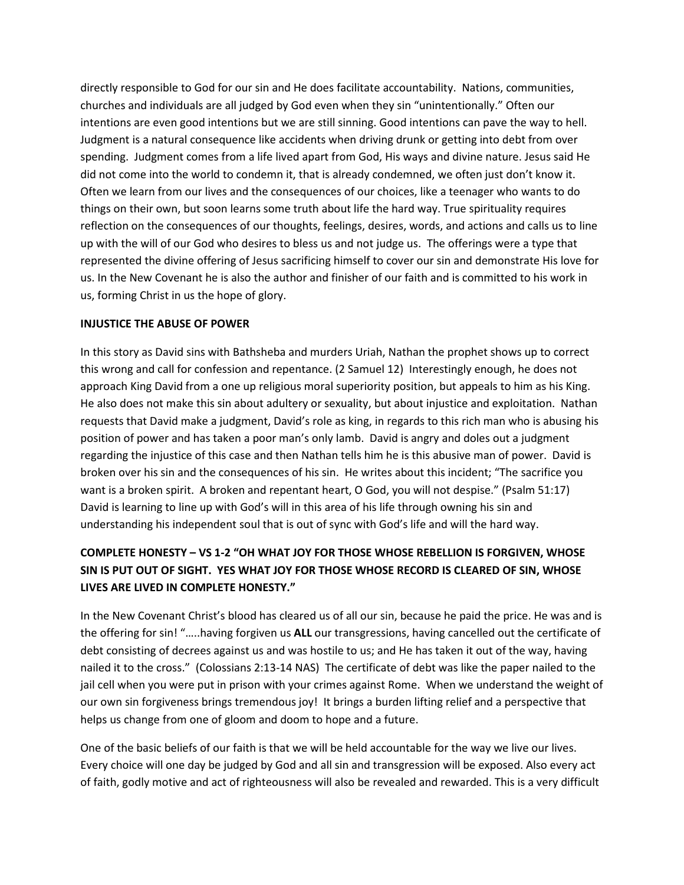directly responsible to God for our sin and He does facilitate accountability. Nations, communities, churches and individuals are all judged by God even when they sin "unintentionally." Often our intentions are even good intentions but we are still sinning. Good intentions can pave the way to hell. Judgment is a natural consequence like accidents when driving drunk or getting into debt from over spending. Judgment comes from a life lived apart from God, His ways and divine nature. Jesus said He did not come into the world to condemn it, that is already condemned, we often just don't know it. Often we learn from our lives and the consequences of our choices, like a teenager who wants to do things on their own, but soon learns some truth about life the hard way. True spirituality requires reflection on the consequences of our thoughts, feelings, desires, words, and actions and calls us to line up with the will of our God who desires to bless us and not judge us. The offerings were a type that represented the divine offering of Jesus sacrificing himself to cover our sin and demonstrate His love for us. In the New Covenant he is also the author and finisher of our faith and is committed to his work in us, forming Christ in us the hope of glory.

### **INJUSTICE THE ABUSE OF POWER**

In this story as David sins with Bathsheba and murders Uriah, Nathan the prophet shows up to correct this wrong and call for confession and repentance. (2 Samuel 12) Interestingly enough, he does not approach King David from a one up religious moral superiority position, but appeals to him as his King. He also does not make this sin about adultery or sexuality, but about injustice and exploitation. Nathan requests that David make a judgment, David's role as king, in regards to this rich man who is abusing his position of power and has taken a poor man's only lamb. David is angry and doles out a judgment regarding the injustice of this case and then Nathan tells him he is this abusive man of power. David is broken over his sin and the consequences of his sin. He writes about this incident; "The sacrifice you want is a broken spirit. A broken and repentant heart, O God, you will not despise." (Psalm 51:17) David is learning to line up with God's will in this area of his life through owning his sin and understanding his independent soul that is out of sync with God's life and will the hard way.

# **COMPLETE HONESTY – VS 1-2 "OH WHAT JOY FOR THOSE WHOSE REBELLION IS FORGIVEN, WHOSE SIN IS PUT OUT OF SIGHT. YES WHAT JOY FOR THOSE WHOSE RECORD IS CLEARED OF SIN, WHOSE LIVES ARE LIVED IN COMPLETE HONESTY."**

In the New Covenant Christ's blood has cleared us of all our sin, because he paid the price. He was and is the offering for sin! "…..having forgiven us **ALL** our transgressions, having cancelled out the certificate of debt consisting of decrees against us and was hostile to us; and He has taken it out of the way, having nailed it to the cross." (Colossians 2:13-14 NAS) The certificate of debt was like the paper nailed to the jail cell when you were put in prison with your crimes against Rome. When we understand the weight of our own sin forgiveness brings tremendous joy! It brings a burden lifting relief and a perspective that helps us change from one of gloom and doom to hope and a future.

One of the basic beliefs of our faith is that we will be held accountable for the way we live our lives. Every choice will one day be judged by God and all sin and transgression will be exposed. Also every act of faith, godly motive and act of righteousness will also be revealed and rewarded. This is a very difficult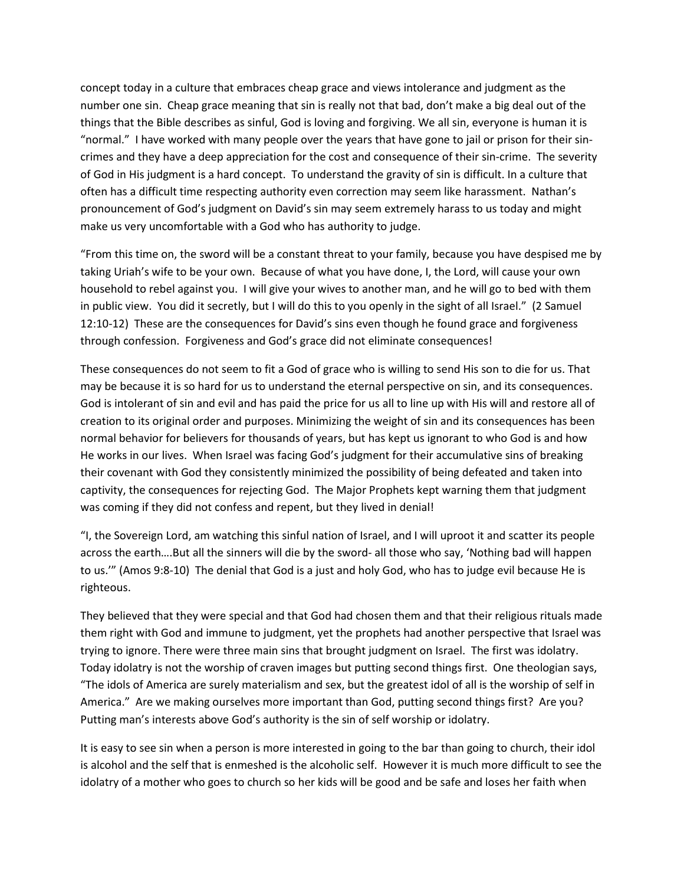concept today in a culture that embraces cheap grace and views intolerance and judgment as the number one sin. Cheap grace meaning that sin is really not that bad, don't make a big deal out of the things that the Bible describes as sinful, God is loving and forgiving. We all sin, everyone is human it is "normal." I have worked with many people over the years that have gone to jail or prison for their sincrimes and they have a deep appreciation for the cost and consequence of their sin-crime. The severity of God in His judgment is a hard concept. To understand the gravity of sin is difficult. In a culture that often has a difficult time respecting authority even correction may seem like harassment. Nathan's pronouncement of God's judgment on David's sin may seem extremely harass to us today and might make us very uncomfortable with a God who has authority to judge.

"From this time on, the sword will be a constant threat to your family, because you have despised me by taking Uriah's wife to be your own. Because of what you have done, I, the Lord, will cause your own household to rebel against you. I will give your wives to another man, and he will go to bed with them in public view. You did it secretly, but I will do this to you openly in the sight of all Israel." (2 Samuel 12:10-12) These are the consequences for David's sins even though he found grace and forgiveness through confession. Forgiveness and God's grace did not eliminate consequences!

These consequences do not seem to fit a God of grace who is willing to send His son to die for us. That may be because it is so hard for us to understand the eternal perspective on sin, and its consequences. God is intolerant of sin and evil and has paid the price for us all to line up with His will and restore all of creation to its original order and purposes. Minimizing the weight of sin and its consequences has been normal behavior for believers for thousands of years, but has kept us ignorant to who God is and how He works in our lives. When Israel was facing God's judgment for their accumulative sins of breaking their covenant with God they consistently minimized the possibility of being defeated and taken into captivity, the consequences for rejecting God. The Major Prophets kept warning them that judgment was coming if they did not confess and repent, but they lived in denial!

"I, the Sovereign Lord, am watching this sinful nation of Israel, and I will uproot it and scatter its people across the earth….But all the sinners will die by the sword- all those who say, 'Nothing bad will happen to us.'" (Amos 9:8-10) The denial that God is a just and holy God, who has to judge evil because He is righteous.

They believed that they were special and that God had chosen them and that their religious rituals made them right with God and immune to judgment, yet the prophets had another perspective that Israel was trying to ignore. There were three main sins that brought judgment on Israel. The first was idolatry. Today idolatry is not the worship of craven images but putting second things first. One theologian says, "The idols of America are surely materialism and sex, but the greatest idol of all is the worship of self in America." Are we making ourselves more important than God, putting second things first? Are you? Putting man's interests above God's authority is the sin of self worship or idolatry.

It is easy to see sin when a person is more interested in going to the bar than going to church, their idol is alcohol and the self that is enmeshed is the alcoholic self. However it is much more difficult to see the idolatry of a mother who goes to church so her kids will be good and be safe and loses her faith when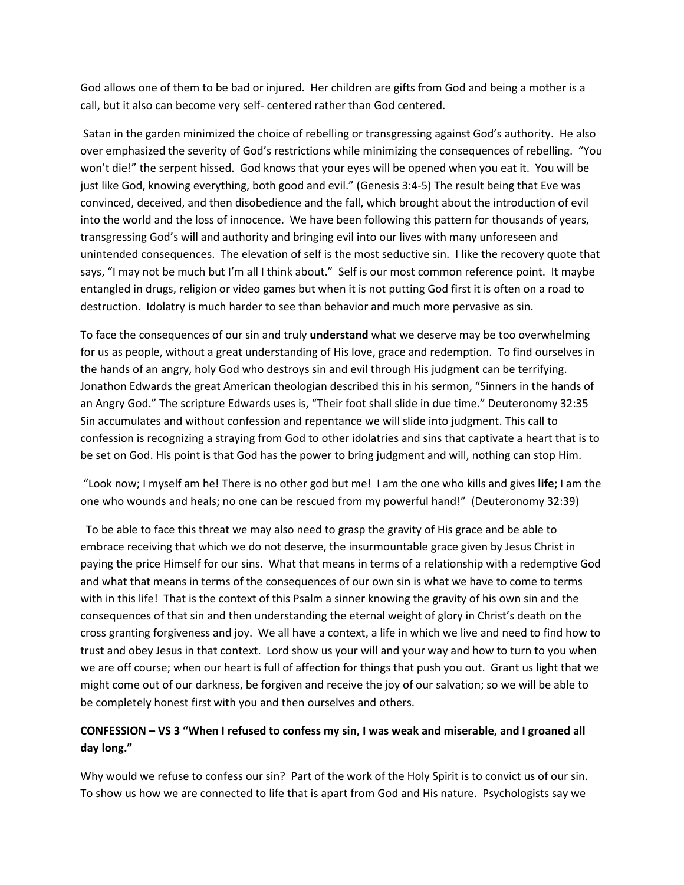God allows one of them to be bad or injured. Her children are gifts from God and being a mother is a call, but it also can become very self- centered rather than God centered.

 Satan in the garden minimized the choice of rebelling or transgressing against God's authority. He also over emphasized the severity of God's restrictions while minimizing the consequences of rebelling. "You won't die!" the serpent hissed. God knows that your eyes will be opened when you eat it. You will be just like God, knowing everything, both good and evil." (Genesis 3:4-5) The result being that Eve was convinced, deceived, and then disobedience and the fall, which brought about the introduction of evil into the world and the loss of innocence. We have been following this pattern for thousands of years, transgressing God's will and authority and bringing evil into our lives with many unforeseen and unintended consequences. The elevation of self is the most seductive sin. I like the recovery quote that says, "I may not be much but I'm all I think about." Self is our most common reference point. It maybe entangled in drugs, religion or video games but when it is not putting God first it is often on a road to destruction. Idolatry is much harder to see than behavior and much more pervasive as sin.

To face the consequences of our sin and truly **understand** what we deserve may be too overwhelming for us as people, without a great understanding of His love, grace and redemption. To find ourselves in the hands of an angry, holy God who destroys sin and evil through His judgment can be terrifying. Jonathon Edwards the great American theologian described this in his sermon, "Sinners in the hands of an Angry God." The scripture Edwards uses is, "Their foot shall slide in due time." Deuteronomy 32:35 Sin accumulates and without confession and repentance we will slide into judgment. This call to confession is recognizing a straying from God to other idolatries and sins that captivate a heart that is to be set on God. His point is that God has the power to bring judgment and will, nothing can stop Him.

 "Look now; I myself am he! There is no other god but me! I am the one who kills and gives **life;** I am the one who wounds and heals; no one can be rescued from my powerful hand!" (Deuteronomy 32:39)

 To be able to face this threat we may also need to grasp the gravity of His grace and be able to embrace receiving that which we do not deserve, the insurmountable grace given by Jesus Christ in paying the price Himself for our sins. What that means in terms of a relationship with a redemptive God and what that means in terms of the consequences of our own sin is what we have to come to terms with in this life! That is the context of this Psalm a sinner knowing the gravity of his own sin and the consequences of that sin and then understanding the eternal weight of glory in Christ's death on the cross granting forgiveness and joy. We all have a context, a life in which we live and need to find how to trust and obey Jesus in that context. Lord show us your will and your way and how to turn to you when we are off course; when our heart is full of affection for things that push you out. Grant us light that we might come out of our darkness, be forgiven and receive the joy of our salvation; so we will be able to be completely honest first with you and then ourselves and others.

# **CONFESSION – VS 3 "When I refused to confess my sin, I was weak and miserable, and I groaned all day long."**

Why would we refuse to confess our sin? Part of the work of the Holy Spirit is to convict us of our sin. To show us how we are connected to life that is apart from God and His nature. Psychologists say we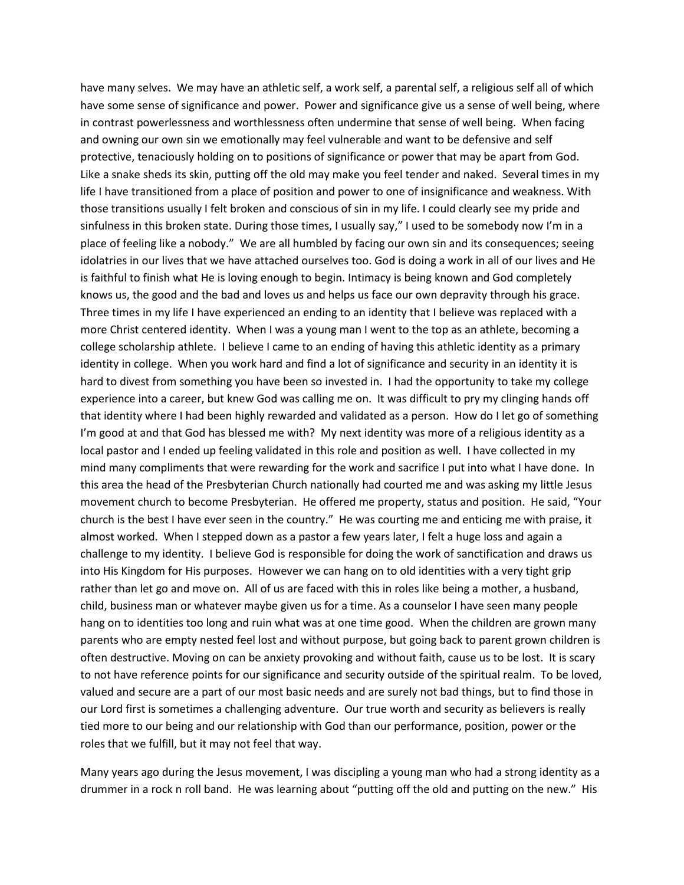have many selves. We may have an athletic self, a work self, a parental self, a religious self all of which have some sense of significance and power. Power and significance give us a sense of well being, where in contrast powerlessness and worthlessness often undermine that sense of well being. When facing and owning our own sin we emotionally may feel vulnerable and want to be defensive and self protective, tenaciously holding on to positions of significance or power that may be apart from God. Like a snake sheds its skin, putting off the old may make you feel tender and naked. Several times in my life I have transitioned from a place of position and power to one of insignificance and weakness. With those transitions usually I felt broken and conscious of sin in my life. I could clearly see my pride and sinfulness in this broken state. During those times, I usually say," I used to be somebody now I'm in a place of feeling like a nobody." We are all humbled by facing our own sin and its consequences; seeing idolatries in our lives that we have attached ourselves too. God is doing a work in all of our lives and He is faithful to finish what He is loving enough to begin. Intimacy is being known and God completely knows us, the good and the bad and loves us and helps us face our own depravity through his grace. Three times in my life I have experienced an ending to an identity that I believe was replaced with a more Christ centered identity. When I was a young man I went to the top as an athlete, becoming a college scholarship athlete. I believe I came to an ending of having this athletic identity as a primary identity in college. When you work hard and find a lot of significance and security in an identity it is hard to divest from something you have been so invested in. I had the opportunity to take my college experience into a career, but knew God was calling me on. It was difficult to pry my clinging hands off that identity where I had been highly rewarded and validated as a person. How do I let go of something I'm good at and that God has blessed me with? My next identity was more of a religious identity as a local pastor and I ended up feeling validated in this role and position as well. I have collected in my mind many compliments that were rewarding for the work and sacrifice I put into what I have done. In this area the head of the Presbyterian Church nationally had courted me and was asking my little Jesus movement church to become Presbyterian. He offered me property, status and position. He said, "Your church is the best I have ever seen in the country." He was courting me and enticing me with praise, it almost worked. When I stepped down as a pastor a few years later, I felt a huge loss and again a challenge to my identity. I believe God is responsible for doing the work of sanctification and draws us into His Kingdom for His purposes. However we can hang on to old identities with a very tight grip rather than let go and move on. All of us are faced with this in roles like being a mother, a husband, child, business man or whatever maybe given us for a time. As a counselor I have seen many people hang on to identities too long and ruin what was at one time good. When the children are grown many parents who are empty nested feel lost and without purpose, but going back to parent grown children is often destructive. Moving on can be anxiety provoking and without faith, cause us to be lost. It is scary to not have reference points for our significance and security outside of the spiritual realm. To be loved, valued and secure are a part of our most basic needs and are surely not bad things, but to find those in our Lord first is sometimes a challenging adventure. Our true worth and security as believers is really tied more to our being and our relationship with God than our performance, position, power or the roles that we fulfill, but it may not feel that way.

Many years ago during the Jesus movement, I was discipling a young man who had a strong identity as a drummer in a rock n roll band. He was learning about "putting off the old and putting on the new." His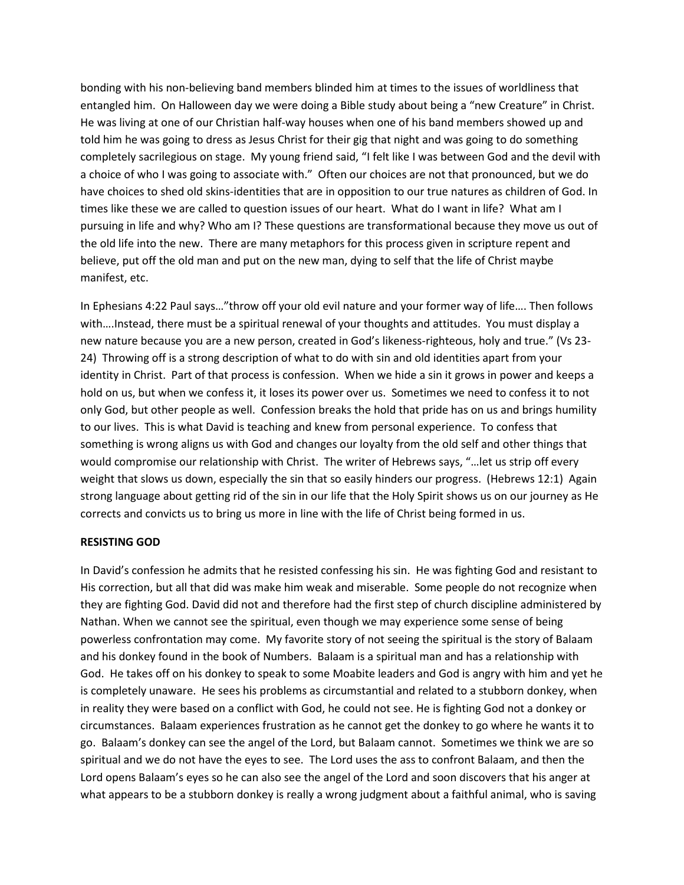bonding with his non-believing band members blinded him at times to the issues of worldliness that entangled him. On Halloween day we were doing a Bible study about being a "new Creature" in Christ. He was living at one of our Christian half-way houses when one of his band members showed up and told him he was going to dress as Jesus Christ for their gig that night and was going to do something completely sacrilegious on stage. My young friend said, "I felt like I was between God and the devil with a choice of who I was going to associate with." Often our choices are not that pronounced, but we do have choices to shed old skins-identities that are in opposition to our true natures as children of God. In times like these we are called to question issues of our heart. What do I want in life? What am I pursuing in life and why? Who am I? These questions are transformational because they move us out of the old life into the new. There are many metaphors for this process given in scripture repent and believe, put off the old man and put on the new man, dying to self that the life of Christ maybe manifest, etc.

In Ephesians 4:22 Paul says…"throw off your old evil nature and your former way of life…. Then follows with….Instead, there must be a spiritual renewal of your thoughts and attitudes. You must display a new nature because you are a new person, created in God's likeness-righteous, holy and true." (Vs 23- 24) Throwing off is a strong description of what to do with sin and old identities apart from your identity in Christ. Part of that process is confession. When we hide a sin it grows in power and keeps a hold on us, but when we confess it, it loses its power over us. Sometimes we need to confess it to not only God, but other people as well. Confession breaks the hold that pride has on us and brings humility to our lives. This is what David is teaching and knew from personal experience. To confess that something is wrong aligns us with God and changes our loyalty from the old self and other things that would compromise our relationship with Christ. The writer of Hebrews says, "…let us strip off every weight that slows us down, especially the sin that so easily hinders our progress. (Hebrews 12:1) Again strong language about getting rid of the sin in our life that the Holy Spirit shows us on our journey as He corrects and convicts us to bring us more in line with the life of Christ being formed in us.

#### **RESISTING GOD**

In David's confession he admits that he resisted confessing his sin. He was fighting God and resistant to His correction, but all that did was make him weak and miserable. Some people do not recognize when they are fighting God. David did not and therefore had the first step of church discipline administered by Nathan. When we cannot see the spiritual, even though we may experience some sense of being powerless confrontation may come. My favorite story of not seeing the spiritual is the story of Balaam and his donkey found in the book of Numbers. Balaam is a spiritual man and has a relationship with God. He takes off on his donkey to speak to some Moabite leaders and God is angry with him and yet he is completely unaware. He sees his problems as circumstantial and related to a stubborn donkey, when in reality they were based on a conflict with God, he could not see. He is fighting God not a donkey or circumstances. Balaam experiences frustration as he cannot get the donkey to go where he wants it to go. Balaam's donkey can see the angel of the Lord, but Balaam cannot. Sometimes we think we are so spiritual and we do not have the eyes to see. The Lord uses the ass to confront Balaam, and then the Lord opens Balaam's eyes so he can also see the angel of the Lord and soon discovers that his anger at what appears to be a stubborn donkey is really a wrong judgment about a faithful animal, who is saving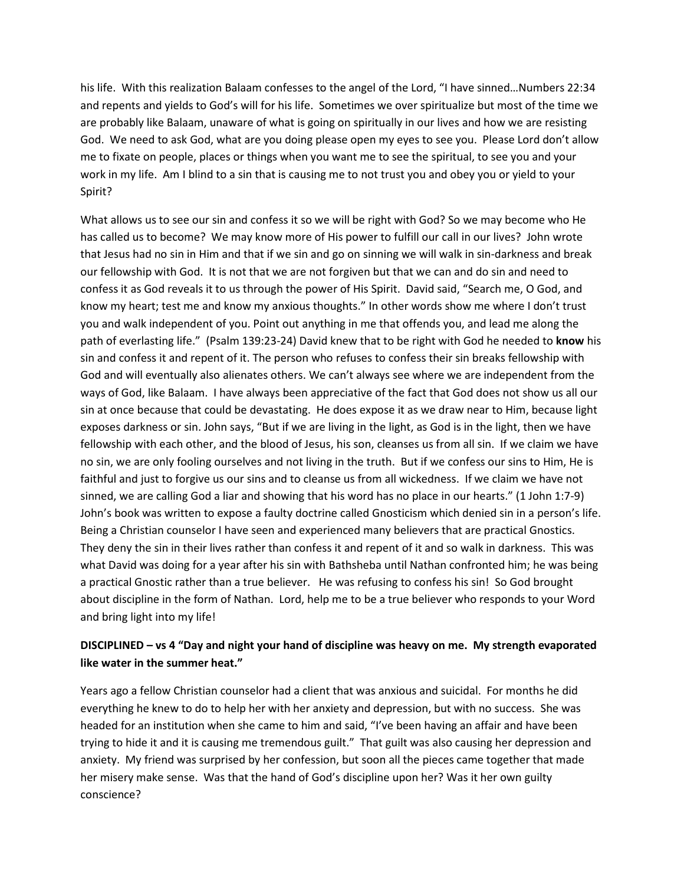his life. With this realization Balaam confesses to the angel of the Lord, "I have sinned…Numbers 22:34 and repents and yields to God's will for his life. Sometimes we over spiritualize but most of the time we are probably like Balaam, unaware of what is going on spiritually in our lives and how we are resisting God. We need to ask God, what are you doing please open my eyes to see you. Please Lord don't allow me to fixate on people, places or things when you want me to see the spiritual, to see you and your work in my life. Am I blind to a sin that is causing me to not trust you and obey you or yield to your Spirit?

What allows us to see our sin and confess it so we will be right with God? So we may become who He has called us to become? We may know more of His power to fulfill our call in our lives? John wrote that Jesus had no sin in Him and that if we sin and go on sinning we will walk in sin-darkness and break our fellowship with God. It is not that we are not forgiven but that we can and do sin and need to confess it as God reveals it to us through the power of His Spirit. David said, "Search me, O God, and know my heart; test me and know my anxious thoughts." In other words show me where I don't trust you and walk independent of you. Point out anything in me that offends you, and lead me along the path of everlasting life." (Psalm 139:23-24) David knew that to be right with God he needed to **know** his sin and confess it and repent of it. The person who refuses to confess their sin breaks fellowship with God and will eventually also alienates others. We can't always see where we are independent from the ways of God, like Balaam. I have always been appreciative of the fact that God does not show us all our sin at once because that could be devastating. He does expose it as we draw near to Him, because light exposes darkness or sin. John says, "But if we are living in the light, as God is in the light, then we have fellowship with each other, and the blood of Jesus, his son, cleanses us from all sin. If we claim we have no sin, we are only fooling ourselves and not living in the truth. But if we confess our sins to Him, He is faithful and just to forgive us our sins and to cleanse us from all wickedness. If we claim we have not sinned, we are calling God a liar and showing that his word has no place in our hearts." (1 John 1:7-9) John's book was written to expose a faulty doctrine called Gnosticism which denied sin in a person's life. Being a Christian counselor I have seen and experienced many believers that are practical Gnostics. They deny the sin in their lives rather than confess it and repent of it and so walk in darkness. This was what David was doing for a year after his sin with Bathsheba until Nathan confronted him; he was being a practical Gnostic rather than a true believer. He was refusing to confess his sin! So God brought about discipline in the form of Nathan. Lord, help me to be a true believer who responds to your Word and bring light into my life!

# **DISCIPLINED – vs 4 "Day and night your hand of discipline was heavy on me. My strength evaporated like water in the summer heat."**

Years ago a fellow Christian counselor had a client that was anxious and suicidal. For months he did everything he knew to do to help her with her anxiety and depression, but with no success. She was headed for an institution when she came to him and said, "I've been having an affair and have been trying to hide it and it is causing me tremendous guilt." That guilt was also causing her depression and anxiety. My friend was surprised by her confession, but soon all the pieces came together that made her misery make sense. Was that the hand of God's discipline upon her? Was it her own guilty conscience?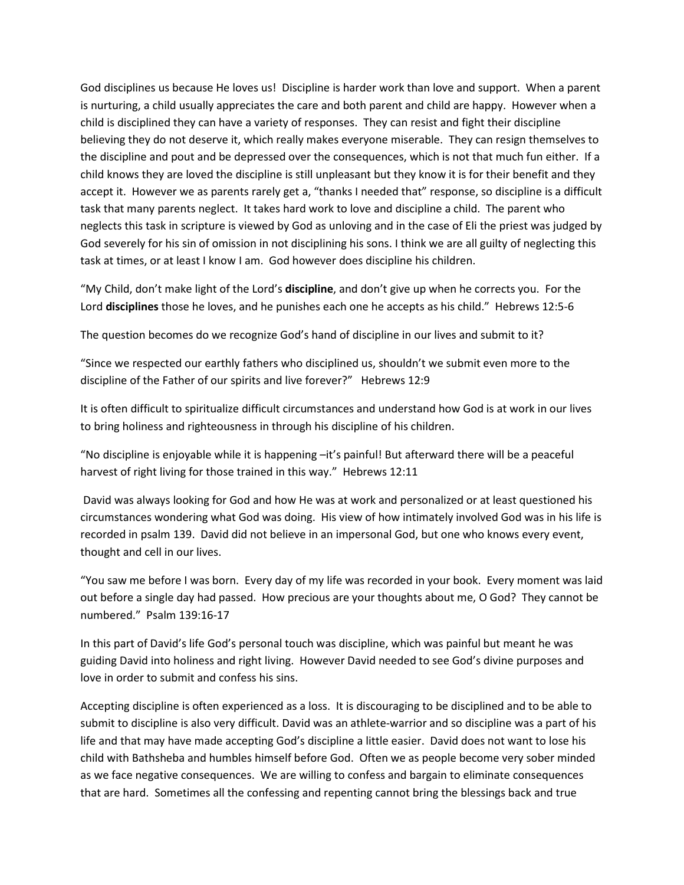God disciplines us because He loves us! Discipline is harder work than love and support. When a parent is nurturing, a child usually appreciates the care and both parent and child are happy. However when a child is disciplined they can have a variety of responses. They can resist and fight their discipline believing they do not deserve it, which really makes everyone miserable. They can resign themselves to the discipline and pout and be depressed over the consequences, which is not that much fun either. If a child knows they are loved the discipline is still unpleasant but they know it is for their benefit and they accept it. However we as parents rarely get a, "thanks I needed that" response, so discipline is a difficult task that many parents neglect. It takes hard work to love and discipline a child. The parent who neglects this task in scripture is viewed by God as unloving and in the case of Eli the priest was judged by God severely for his sin of omission in not disciplining his sons. I think we are all guilty of neglecting this task at times, or at least I know I am. God however does discipline his children.

"My Child, don't make light of the Lord's **discipline**, and don't give up when he corrects you. For the Lord **disciplines** those he loves, and he punishes each one he accepts as his child." Hebrews 12:5-6

The question becomes do we recognize God's hand of discipline in our lives and submit to it?

"Since we respected our earthly fathers who disciplined us, shouldn't we submit even more to the discipline of the Father of our spirits and live forever?" Hebrews 12:9

It is often difficult to spiritualize difficult circumstances and understand how God is at work in our lives to bring holiness and righteousness in through his discipline of his children.

"No discipline is enjoyable while it is happening –it's painful! But afterward there will be a peaceful harvest of right living for those trained in this way." Hebrews 12:11

 David was always looking for God and how He was at work and personalized or at least questioned his circumstances wondering what God was doing. His view of how intimately involved God was in his life is recorded in psalm 139. David did not believe in an impersonal God, but one who knows every event, thought and cell in our lives.

"You saw me before I was born. Every day of my life was recorded in your book. Every moment was laid out before a single day had passed. How precious are your thoughts about me, O God? They cannot be numbered." Psalm 139:16-17

In this part of David's life God's personal touch was discipline, which was painful but meant he was guiding David into holiness and right living. However David needed to see God's divine purposes and love in order to submit and confess his sins.

Accepting discipline is often experienced as a loss. It is discouraging to be disciplined and to be able to submit to discipline is also very difficult. David was an athlete-warrior and so discipline was a part of his life and that may have made accepting God's discipline a little easier. David does not want to lose his child with Bathsheba and humbles himself before God. Often we as people become very sober minded as we face negative consequences. We are willing to confess and bargain to eliminate consequences that are hard. Sometimes all the confessing and repenting cannot bring the blessings back and true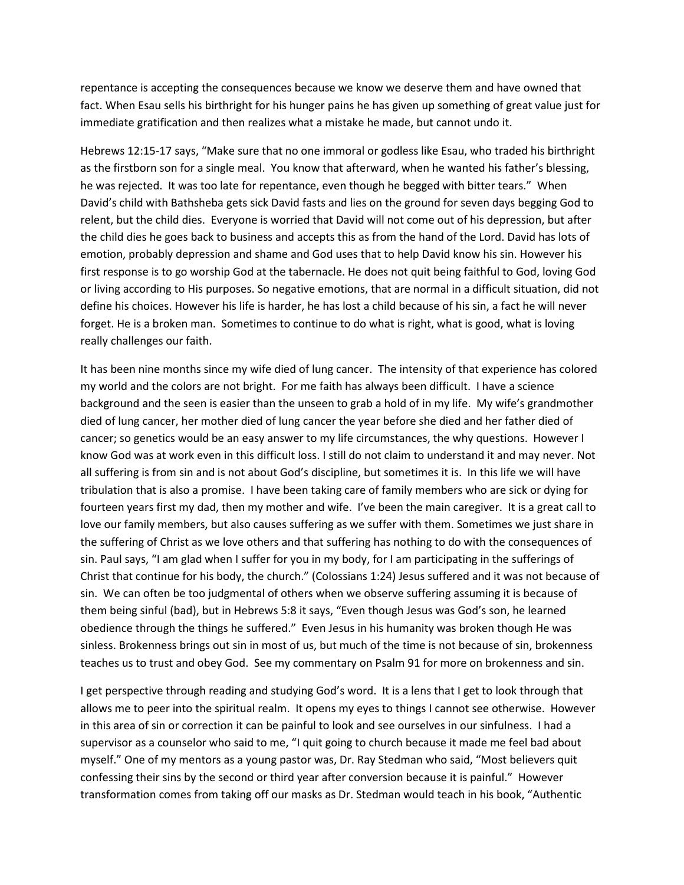repentance is accepting the consequences because we know we deserve them and have owned that fact. When Esau sells his birthright for his hunger pains he has given up something of great value just for immediate gratification and then realizes what a mistake he made, but cannot undo it.

Hebrews 12:15-17 says, "Make sure that no one immoral or godless like Esau, who traded his birthright as the firstborn son for a single meal. You know that afterward, when he wanted his father's blessing, he was rejected. It was too late for repentance, even though he begged with bitter tears." When David's child with Bathsheba gets sick David fasts and lies on the ground for seven days begging God to relent, but the child dies. Everyone is worried that David will not come out of his depression, but after the child dies he goes back to business and accepts this as from the hand of the Lord. David has lots of emotion, probably depression and shame and God uses that to help David know his sin. However his first response is to go worship God at the tabernacle. He does not quit being faithful to God, loving God or living according to His purposes. So negative emotions, that are normal in a difficult situation, did not define his choices. However his life is harder, he has lost a child because of his sin, a fact he will never forget. He is a broken man. Sometimes to continue to do what is right, what is good, what is loving really challenges our faith.

It has been nine months since my wife died of lung cancer. The intensity of that experience has colored my world and the colors are not bright. For me faith has always been difficult. I have a science background and the seen is easier than the unseen to grab a hold of in my life. My wife's grandmother died of lung cancer, her mother died of lung cancer the year before she died and her father died of cancer; so genetics would be an easy answer to my life circumstances, the why questions. However I know God was at work even in this difficult loss. I still do not claim to understand it and may never. Not all suffering is from sin and is not about God's discipline, but sometimes it is. In this life we will have tribulation that is also a promise. I have been taking care of family members who are sick or dying for fourteen years first my dad, then my mother and wife. I've been the main caregiver. It is a great call to love our family members, but also causes suffering as we suffer with them. Sometimes we just share in the suffering of Christ as we love others and that suffering has nothing to do with the consequences of sin. Paul says, "I am glad when I suffer for you in my body, for I am participating in the sufferings of Christ that continue for his body, the church." (Colossians 1:24) Jesus suffered and it was not because of sin. We can often be too judgmental of others when we observe suffering assuming it is because of them being sinful (bad), but in Hebrews 5:8 it says, "Even though Jesus was God's son, he learned obedience through the things he suffered." Even Jesus in his humanity was broken though He was sinless. Brokenness brings out sin in most of us, but much of the time is not because of sin, brokenness teaches us to trust and obey God. See my commentary on Psalm 91 for more on brokenness and sin.

I get perspective through reading and studying God's word. It is a lens that I get to look through that allows me to peer into the spiritual realm. It opens my eyes to things I cannot see otherwise. However in this area of sin or correction it can be painful to look and see ourselves in our sinfulness. I had a supervisor as a counselor who said to me, "I quit going to church because it made me feel bad about myself." One of my mentors as a young pastor was, Dr. Ray Stedman who said, "Most believers quit confessing their sins by the second or third year after conversion because it is painful." However transformation comes from taking off our masks as Dr. Stedman would teach in his book, "Authentic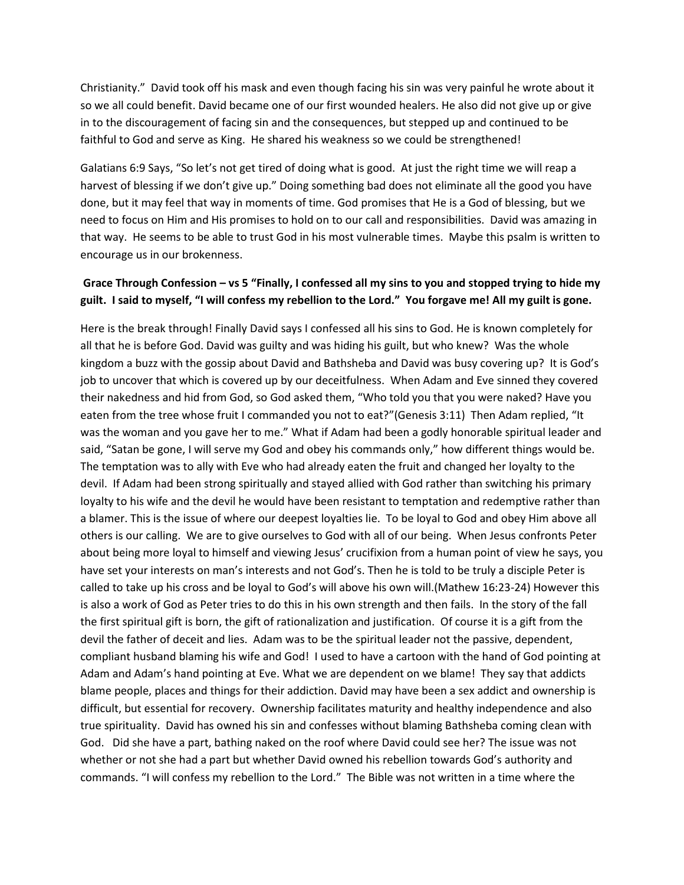Christianity." David took off his mask and even though facing his sin was very painful he wrote about it so we all could benefit. David became one of our first wounded healers. He also did not give up or give in to the discouragement of facing sin and the consequences, but stepped up and continued to be faithful to God and serve as King. He shared his weakness so we could be strengthened!

Galatians 6:9 Says, "So let's not get tired of doing what is good. At just the right time we will reap a harvest of blessing if we don't give up." Doing something bad does not eliminate all the good you have done, but it may feel that way in moments of time. God promises that He is a God of blessing, but we need to focus on Him and His promises to hold on to our call and responsibilities. David was amazing in that way. He seems to be able to trust God in his most vulnerable times. Maybe this psalm is written to encourage us in our brokenness.

# **Grace Through Confession – vs 5 "Finally, I confessed all my sins to you and stopped trying to hide my guilt. I said to myself, "I will confess my rebellion to the Lord." You forgave me! All my guilt is gone.**

Here is the break through! Finally David says I confessed all his sins to God. He is known completely for all that he is before God. David was guilty and was hiding his guilt, but who knew? Was the whole kingdom a buzz with the gossip about David and Bathsheba and David was busy covering up? It is God's job to uncover that which is covered up by our deceitfulness. When Adam and Eve sinned they covered their nakedness and hid from God, so God asked them, "Who told you that you were naked? Have you eaten from the tree whose fruit I commanded you not to eat?"(Genesis 3:11) Then Adam replied, "It was the woman and you gave her to me." What if Adam had been a godly honorable spiritual leader and said, "Satan be gone, I will serve my God and obey his commands only," how different things would be. The temptation was to ally with Eve who had already eaten the fruit and changed her loyalty to the devil. If Adam had been strong spiritually and stayed allied with God rather than switching his primary loyalty to his wife and the devil he would have been resistant to temptation and redemptive rather than a blamer. This is the issue of where our deepest loyalties lie. To be loyal to God and obey Him above all others is our calling. We are to give ourselves to God with all of our being. When Jesus confronts Peter about being more loyal to himself and viewing Jesus' crucifixion from a human point of view he says, you have set your interests on man's interests and not God's. Then he is told to be truly a disciple Peter is called to take up his cross and be loyal to God's will above his own will.(Mathew 16:23-24) However this is also a work of God as Peter tries to do this in his own strength and then fails. In the story of the fall the first spiritual gift is born, the gift of rationalization and justification. Of course it is a gift from the devil the father of deceit and lies. Adam was to be the spiritual leader not the passive, dependent, compliant husband blaming his wife and God! I used to have a cartoon with the hand of God pointing at Adam and Adam's hand pointing at Eve. What we are dependent on we blame! They say that addicts blame people, places and things for their addiction. David may have been a sex addict and ownership is difficult, but essential for recovery. Ownership facilitates maturity and healthy independence and also true spirituality. David has owned his sin and confesses without blaming Bathsheba coming clean with God. Did she have a part, bathing naked on the roof where David could see her? The issue was not whether or not she had a part but whether David owned his rebellion towards God's authority and commands. "I will confess my rebellion to the Lord." The Bible was not written in a time where the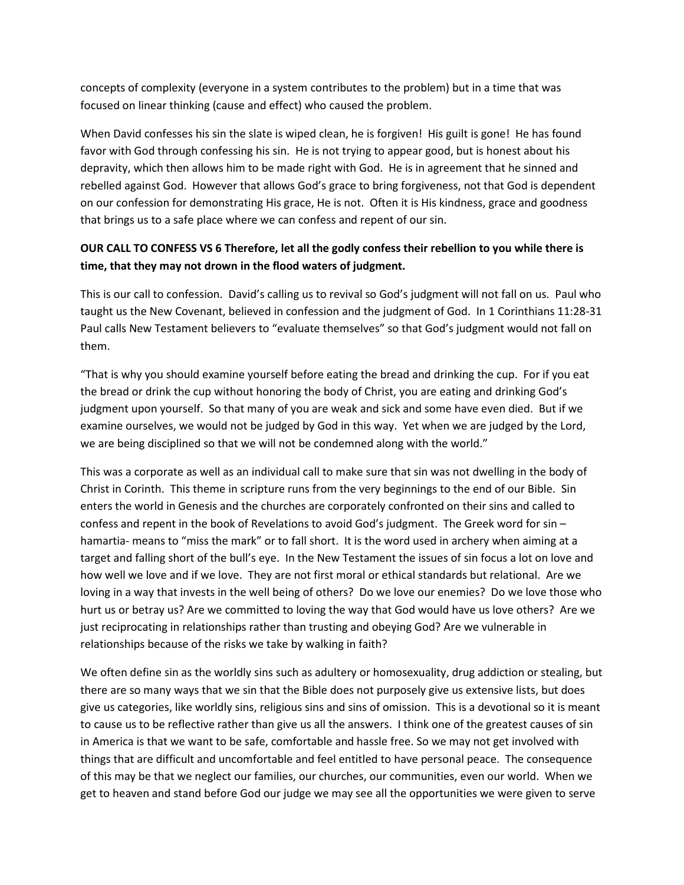concepts of complexity (everyone in a system contributes to the problem) but in a time that was focused on linear thinking (cause and effect) who caused the problem.

When David confesses his sin the slate is wiped clean, he is forgiven! His guilt is gone! He has found favor with God through confessing his sin. He is not trying to appear good, but is honest about his depravity, which then allows him to be made right with God. He is in agreement that he sinned and rebelled against God. However that allows God's grace to bring forgiveness, not that God is dependent on our confession for demonstrating His grace, He is not. Often it is His kindness, grace and goodness that brings us to a safe place where we can confess and repent of our sin.

# **OUR CALL TO CONFESS VS 6 Therefore, let all the godly confess their rebellion to you while there is time, that they may not drown in the flood waters of judgment.**

This is our call to confession. David's calling us to revival so God's judgment will not fall on us. Paul who taught us the New Covenant, believed in confession and the judgment of God. In 1 Corinthians 11:28-31 Paul calls New Testament believers to "evaluate themselves" so that God's judgment would not fall on them.

"That is why you should examine yourself before eating the bread and drinking the cup. For if you eat the bread or drink the cup without honoring the body of Christ, you are eating and drinking God's judgment upon yourself. So that many of you are weak and sick and some have even died. But if we examine ourselves, we would not be judged by God in this way. Yet when we are judged by the Lord, we are being disciplined so that we will not be condemned along with the world."

This was a corporate as well as an individual call to make sure that sin was not dwelling in the body of Christ in Corinth. This theme in scripture runs from the very beginnings to the end of our Bible. Sin enters the world in Genesis and the churches are corporately confronted on their sins and called to confess and repent in the book of Revelations to avoid God's judgment. The Greek word for sin – hamartia- means to "miss the mark" or to fall short. It is the word used in archery when aiming at a target and falling short of the bull's eye. In the New Testament the issues of sin focus a lot on love and how well we love and if we love. They are not first moral or ethical standards but relational. Are we loving in a way that invests in the well being of others? Do we love our enemies? Do we love those who hurt us or betray us? Are we committed to loving the way that God would have us love others? Are we just reciprocating in relationships rather than trusting and obeying God? Are we vulnerable in relationships because of the risks we take by walking in faith?

We often define sin as the worldly sins such as adultery or homosexuality, drug addiction or stealing, but there are so many ways that we sin that the Bible does not purposely give us extensive lists, but does give us categories, like worldly sins, religious sins and sins of omission. This is a devotional so it is meant to cause us to be reflective rather than give us all the answers. I think one of the greatest causes of sin in America is that we want to be safe, comfortable and hassle free. So we may not get involved with things that are difficult and uncomfortable and feel entitled to have personal peace. The consequence of this may be that we neglect our families, our churches, our communities, even our world. When we get to heaven and stand before God our judge we may see all the opportunities we were given to serve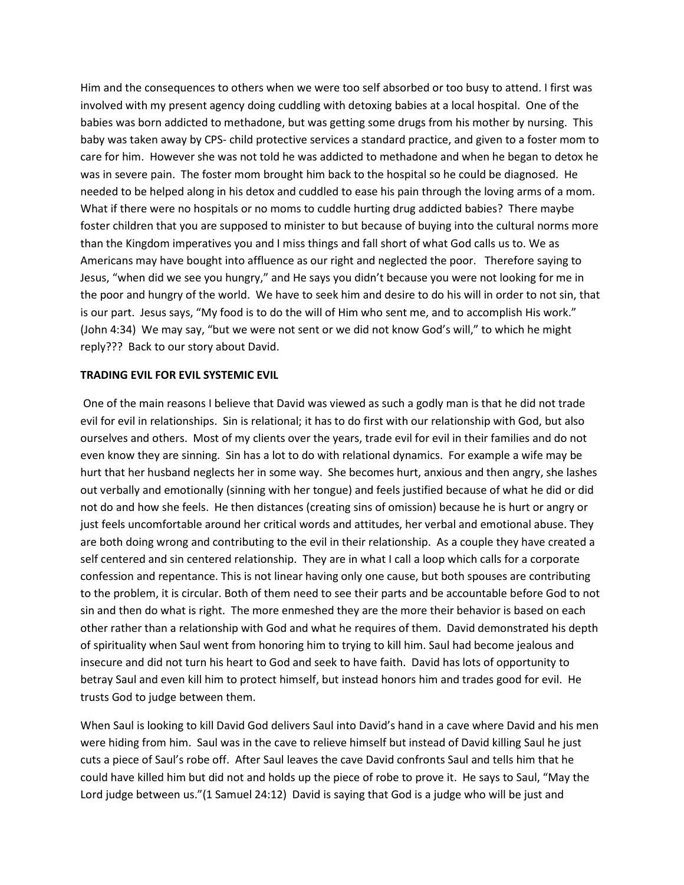Him and the consequences to others when we were too self absorbed or too busy to attend. I first was involved with my present agency doing cuddling with detoxing babies at a local hospital. One of the babies was born addicted to methadone, but was getting some drugs from his mother by nursing. This baby was taken away by CPS- child protective services a standard practice, and given to a foster mom to care for him. However she was not told he was addicted to methadone and when he began to detox he was in severe pain. The foster mom brought him back to the hospital so he could be diagnosed. He needed to be helped along in his detox and cuddled to ease his pain through the loving arms of a mom. What if there were no hospitals or no moms to cuddle hurting drug addicted babies? There maybe foster children that you are supposed to minister to but because of buying into the cultural norms more than the Kingdom imperatives you and I miss things and fall short of what God calls us to. We as Americans may have bought into affluence as our right and neglected the poor. Therefore saying to Jesus, "when did we see you hungry," and He says you didn't because you were not looking for me in the poor and hungry of the world. We have to seek him and desire to do his will in order to not sin, that is our part. Jesus says, "My food is to do the will of Him who sent me, and to accomplish His work." (John 4:34) We may say, "but we were not sent or we did not know God's will," to which he might reply??? Back to our story about David.

#### **TRADING EVIL FOR EVIL SYSTEMIC EVIL**

 One of the main reasons I believe that David was viewed as such a godly man is that he did not trade evil for evil in relationships. Sin is relational; it has to do first with our relationship with God, but also ourselves and others. Most of my clients over the years, trade evil for evil in their families and do not even know they are sinning. Sin has a lot to do with relational dynamics. For example a wife may be hurt that her husband neglects her in some way. She becomes hurt, anxious and then angry, she lashes out verbally and emotionally (sinning with her tongue) and feels justified because of what he did or did not do and how she feels. He then distances (creating sins of omission) because he is hurt or angry or just feels uncomfortable around her critical words and attitudes, her verbal and emotional abuse. They are both doing wrong and contributing to the evil in their relationship. As a couple they have created a self centered and sin centered relationship. They are in what I call a loop which calls for a corporate confession and repentance. This is not linear having only one cause, but both spouses are contributing to the problem, it is circular. Both of them need to see their parts and be accountable before God to not sin and then do what is right. The more enmeshed they are the more their behavior is based on each other rather than a relationship with God and what he requires of them. David demonstrated his depth of spirituality when Saul went from honoring him to trying to kill him. Saul had become jealous and insecure and did not turn his heart to God and seek to have faith. David has lots of opportunity to betray Saul and even kill him to protect himself, but instead honors him and trades good for evil. He trusts God to judge between them.

When Saul is looking to kill David God delivers Saul into David's hand in a cave where David and his men were hiding from him. Saul was in the cave to relieve himself but instead of David killing Saul he just cuts a piece of Saul's robe off. After Saul leaves the cave David confronts Saul and tells him that he could have killed him but did not and holds up the piece of robe to prove it. He says to Saul, "May the Lord judge between us."(1 Samuel 24:12) David is saying that God is a judge who will be just and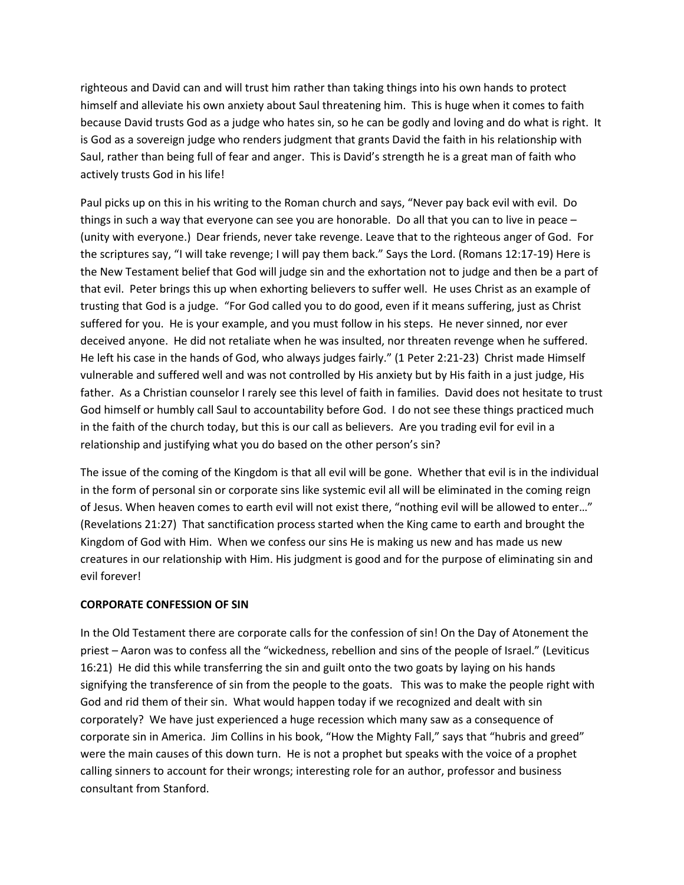righteous and David can and will trust him rather than taking things into his own hands to protect himself and alleviate his own anxiety about Saul threatening him. This is huge when it comes to faith because David trusts God as a judge who hates sin, so he can be godly and loving and do what is right. It is God as a sovereign judge who renders judgment that grants David the faith in his relationship with Saul, rather than being full of fear and anger. This is David's strength he is a great man of faith who actively trusts God in his life!

Paul picks up on this in his writing to the Roman church and says, "Never pay back evil with evil. Do things in such a way that everyone can see you are honorable. Do all that you can to live in peace – (unity with everyone.) Dear friends, never take revenge. Leave that to the righteous anger of God. For the scriptures say, "I will take revenge; I will pay them back." Says the Lord. (Romans 12:17-19) Here is the New Testament belief that God will judge sin and the exhortation not to judge and then be a part of that evil. Peter brings this up when exhorting believers to suffer well. He uses Christ as an example of trusting that God is a judge. "For God called you to do good, even if it means suffering, just as Christ suffered for you. He is your example, and you must follow in his steps. He never sinned, nor ever deceived anyone. He did not retaliate when he was insulted, nor threaten revenge when he suffered. He left his case in the hands of God, who always judges fairly." (1 Peter 2:21-23) Christ made Himself vulnerable and suffered well and was not controlled by His anxiety but by His faith in a just judge, His father. As a Christian counselor I rarely see this level of faith in families. David does not hesitate to trust God himself or humbly call Saul to accountability before God. I do not see these things practiced much in the faith of the church today, but this is our call as believers. Are you trading evil for evil in a relationship and justifying what you do based on the other person's sin?

The issue of the coming of the Kingdom is that all evil will be gone. Whether that evil is in the individual in the form of personal sin or corporate sins like systemic evil all will be eliminated in the coming reign of Jesus. When heaven comes to earth evil will not exist there, "nothing evil will be allowed to enter…" (Revelations 21:27) That sanctification process started when the King came to earth and brought the Kingdom of God with Him. When we confess our sins He is making us new and has made us new creatures in our relationship with Him. His judgment is good and for the purpose of eliminating sin and evil forever!

### **CORPORATE CONFESSION OF SIN**

In the Old Testament there are corporate calls for the confession of sin! On the Day of Atonement the priest – Aaron was to confess all the "wickedness, rebellion and sins of the people of Israel." (Leviticus 16:21) He did this while transferring the sin and guilt onto the two goats by laying on his hands signifying the transference of sin from the people to the goats. This was to make the people right with God and rid them of their sin. What would happen today if we recognized and dealt with sin corporately? We have just experienced a huge recession which many saw as a consequence of corporate sin in America. Jim Collins in his book, "How the Mighty Fall," says that "hubris and greed" were the main causes of this down turn. He is not a prophet but speaks with the voice of a prophet calling sinners to account for their wrongs; interesting role for an author, professor and business consultant from Stanford.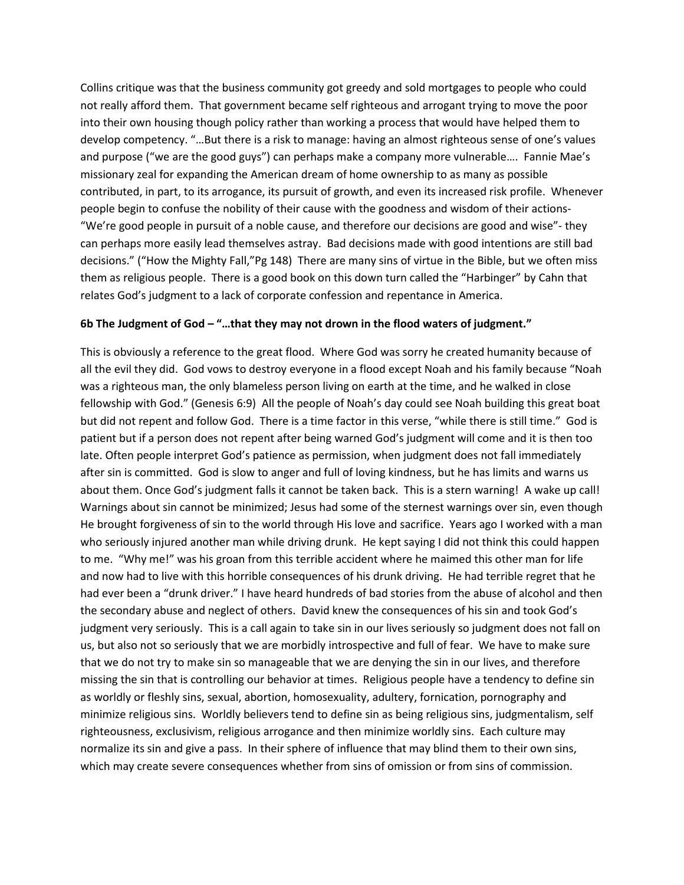Collins critique was that the business community got greedy and sold mortgages to people who could not really afford them. That government became self righteous and arrogant trying to move the poor into their own housing though policy rather than working a process that would have helped them to develop competency. "…But there is a risk to manage: having an almost righteous sense of one's values and purpose ("we are the good guys") can perhaps make a company more vulnerable…. Fannie Mae's missionary zeal for expanding the American dream of home ownership to as many as possible contributed, in part, to its arrogance, its pursuit of growth, and even its increased risk profile. Whenever people begin to confuse the nobility of their cause with the goodness and wisdom of their actions- "We're good people in pursuit of a noble cause, and therefore our decisions are good and wise"- they can perhaps more easily lead themselves astray. Bad decisions made with good intentions are still bad decisions." ("How the Mighty Fall,"Pg 148) There are many sins of virtue in the Bible, but we often miss them as religious people. There is a good book on this down turn called the "Harbinger" by Cahn that relates God's judgment to a lack of corporate confession and repentance in America.

### **6b The Judgment of God – "…that they may not drown in the flood waters of judgment."**

This is obviously a reference to the great flood. Where God was sorry he created humanity because of all the evil they did. God vows to destroy everyone in a flood except Noah and his family because "Noah was a righteous man, the only blameless person living on earth at the time, and he walked in close fellowship with God." (Genesis 6:9) All the people of Noah's day could see Noah building this great boat but did not repent and follow God. There is a time factor in this verse, "while there is still time." God is patient but if a person does not repent after being warned God's judgment will come and it is then too late. Often people interpret God's patience as permission, when judgment does not fall immediately after sin is committed. God is slow to anger and full of loving kindness, but he has limits and warns us about them. Once God's judgment falls it cannot be taken back. This is a stern warning! A wake up call! Warnings about sin cannot be minimized; Jesus had some of the sternest warnings over sin, even though He brought forgiveness of sin to the world through His love and sacrifice. Years ago I worked with a man who seriously injured another man while driving drunk. He kept saying I did not think this could happen to me. "Why me!" was his groan from this terrible accident where he maimed this other man for life and now had to live with this horrible consequences of his drunk driving. He had terrible regret that he had ever been a "drunk driver." I have heard hundreds of bad stories from the abuse of alcohol and then the secondary abuse and neglect of others. David knew the consequences of his sin and took God's judgment very seriously. This is a call again to take sin in our lives seriously so judgment does not fall on us, but also not so seriously that we are morbidly introspective and full of fear. We have to make sure that we do not try to make sin so manageable that we are denying the sin in our lives, and therefore missing the sin that is controlling our behavior at times. Religious people have a tendency to define sin as worldly or fleshly sins, sexual, abortion, homosexuality, adultery, fornication, pornography and minimize religious sins. Worldly believers tend to define sin as being religious sins, judgmentalism, self righteousness, exclusivism, religious arrogance and then minimize worldly sins. Each culture may normalize its sin and give a pass. In their sphere of influence that may blind them to their own sins, which may create severe consequences whether from sins of omission or from sins of commission.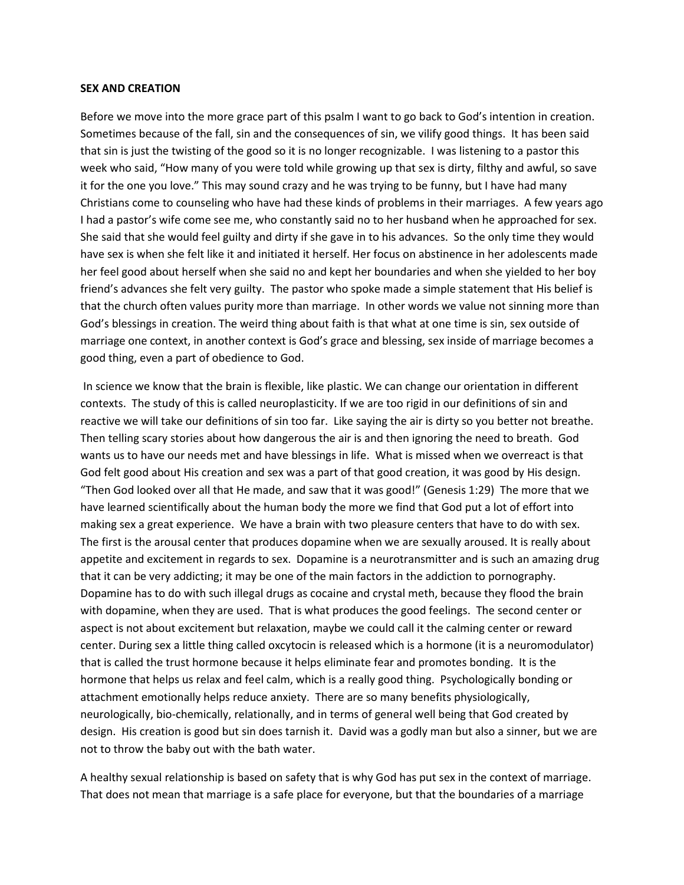#### **SEX AND CREATION**

Before we move into the more grace part of this psalm I want to go back to God's intention in creation. Sometimes because of the fall, sin and the consequences of sin, we vilify good things. It has been said that sin is just the twisting of the good so it is no longer recognizable. I was listening to a pastor this week who said, "How many of you were told while growing up that sex is dirty, filthy and awful, so save it for the one you love." This may sound crazy and he was trying to be funny, but I have had many Christians come to counseling who have had these kinds of problems in their marriages. A few years ago I had a pastor's wife come see me, who constantly said no to her husband when he approached for sex. She said that she would feel guilty and dirty if she gave in to his advances. So the only time they would have sex is when she felt like it and initiated it herself. Her focus on abstinence in her adolescents made her feel good about herself when she said no and kept her boundaries and when she yielded to her boy friend's advances she felt very guilty. The pastor who spoke made a simple statement that His belief is that the church often values purity more than marriage. In other words we value not sinning more than God's blessings in creation. The weird thing about faith is that what at one time is sin, sex outside of marriage one context, in another context is God's grace and blessing, sex inside of marriage becomes a good thing, even a part of obedience to God.

 In science we know that the brain is flexible, like plastic. We can change our orientation in different contexts. The study of this is called neuroplasticity. If we are too rigid in our definitions of sin and reactive we will take our definitions of sin too far. Like saying the air is dirty so you better not breathe. Then telling scary stories about how dangerous the air is and then ignoring the need to breath. God wants us to have our needs met and have blessings in life. What is missed when we overreact is that God felt good about His creation and sex was a part of that good creation, it was good by His design. "Then God looked over all that He made, and saw that it was good!" (Genesis 1:29) The more that we have learned scientifically about the human body the more we find that God put a lot of effort into making sex a great experience. We have a brain with two pleasure centers that have to do with sex. The first is the arousal center that produces dopamine when we are sexually aroused. It is really about appetite and excitement in regards to sex. Dopamine is a neurotransmitter and is such an amazing drug that it can be very addicting; it may be one of the main factors in the addiction to pornography. Dopamine has to do with such illegal drugs as cocaine and crystal meth, because they flood the brain with dopamine, when they are used. That is what produces the good feelings. The second center or aspect is not about excitement but relaxation, maybe we could call it the calming center or reward center. During sex a little thing called oxcytocin is released which is a hormone (it is a neuromodulator) that is called the trust hormone because it helps eliminate fear and promotes bonding. It is the hormone that helps us relax and feel calm, which is a really good thing. Psychologically bonding or attachment emotionally helps reduce anxiety. There are so many benefits physiologically, neurologically, bio-chemically, relationally, and in terms of general well being that God created by design. His creation is good but sin does tarnish it. David was a godly man but also a sinner, but we are not to throw the baby out with the bath water.

A healthy sexual relationship is based on safety that is why God has put sex in the context of marriage. That does not mean that marriage is a safe place for everyone, but that the boundaries of a marriage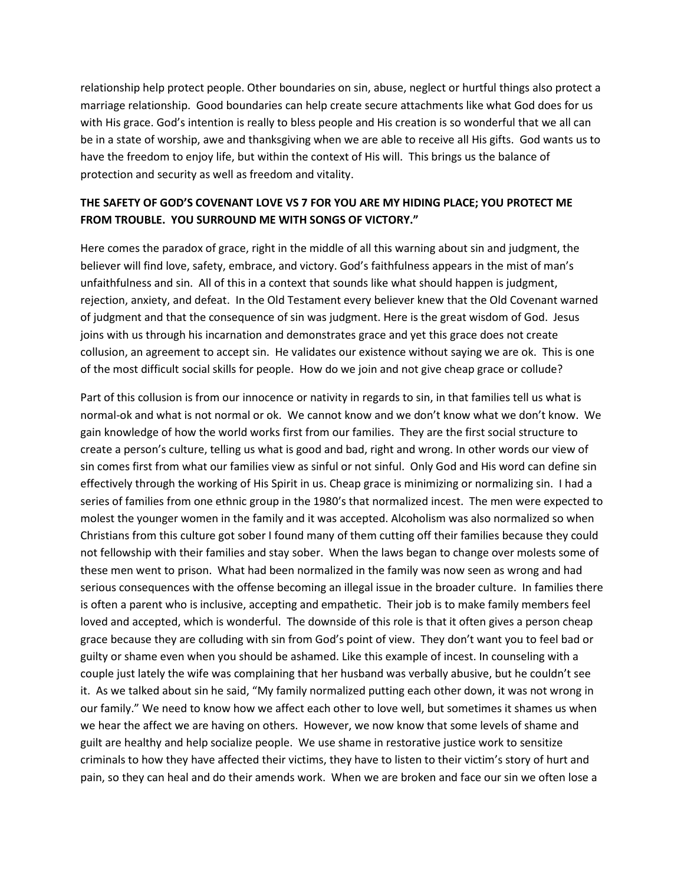relationship help protect people. Other boundaries on sin, abuse, neglect or hurtful things also protect a marriage relationship. Good boundaries can help create secure attachments like what God does for us with His grace. God's intention is really to bless people and His creation is so wonderful that we all can be in a state of worship, awe and thanksgiving when we are able to receive all His gifts. God wants us to have the freedom to enjoy life, but within the context of His will. This brings us the balance of protection and security as well as freedom and vitality.

## **THE SAFETY OF GOD'S COVENANT LOVE VS 7 FOR YOU ARE MY HIDING PLACE; YOU PROTECT ME FROM TROUBLE. YOU SURROUND ME WITH SONGS OF VICTORY."**

Here comes the paradox of grace, right in the middle of all this warning about sin and judgment, the believer will find love, safety, embrace, and victory. God's faithfulness appears in the mist of man's unfaithfulness and sin. All of this in a context that sounds like what should happen is judgment, rejection, anxiety, and defeat. In the Old Testament every believer knew that the Old Covenant warned of judgment and that the consequence of sin was judgment. Here is the great wisdom of God. Jesus joins with us through his incarnation and demonstrates grace and yet this grace does not create collusion, an agreement to accept sin. He validates our existence without saying we are ok. This is one of the most difficult social skills for people. How do we join and not give cheap grace or collude?

Part of this collusion is from our innocence or nativity in regards to sin, in that families tell us what is normal-ok and what is not normal or ok. We cannot know and we don't know what we don't know. We gain knowledge of how the world works first from our families. They are the first social structure to create a person's culture, telling us what is good and bad, right and wrong. In other words our view of sin comes first from what our families view as sinful or not sinful. Only God and His word can define sin effectively through the working of His Spirit in us. Cheap grace is minimizing or normalizing sin. I had a series of families from one ethnic group in the 1980's that normalized incest. The men were expected to molest the younger women in the family and it was accepted. Alcoholism was also normalized so when Christians from this culture got sober I found many of them cutting off their families because they could not fellowship with their families and stay sober. When the laws began to change over molests some of these men went to prison. What had been normalized in the family was now seen as wrong and had serious consequences with the offense becoming an illegal issue in the broader culture. In families there is often a parent who is inclusive, accepting and empathetic. Their job is to make family members feel loved and accepted, which is wonderful. The downside of this role is that it often gives a person cheap grace because they are colluding with sin from God's point of view. They don't want you to feel bad or guilty or shame even when you should be ashamed. Like this example of incest. In counseling with a couple just lately the wife was complaining that her husband was verbally abusive, but he couldn't see it. As we talked about sin he said, "My family normalized putting each other down, it was not wrong in our family." We need to know how we affect each other to love well, but sometimes it shames us when we hear the affect we are having on others. However, we now know that some levels of shame and guilt are healthy and help socialize people. We use shame in restorative justice work to sensitize criminals to how they have affected their victims, they have to listen to their victim's story of hurt and pain, so they can heal and do their amends work. When we are broken and face our sin we often lose a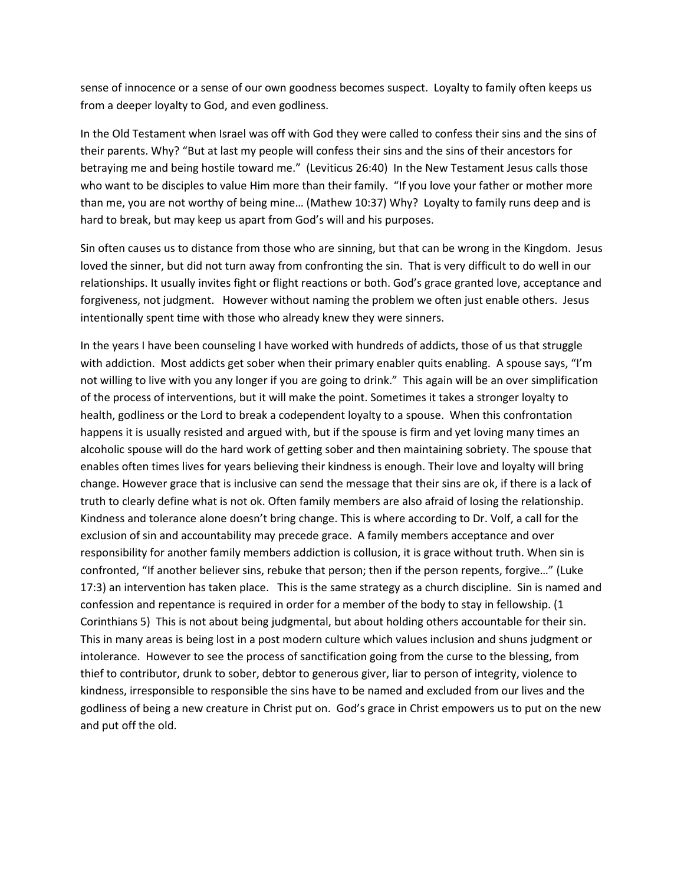sense of innocence or a sense of our own goodness becomes suspect. Loyalty to family often keeps us from a deeper loyalty to God, and even godliness.

In the Old Testament when Israel was off with God they were called to confess their sins and the sins of their parents. Why? "But at last my people will confess their sins and the sins of their ancestors for betraying me and being hostile toward me." (Leviticus 26:40) In the New Testament Jesus calls those who want to be disciples to value Him more than their family. "If you love your father or mother more than me, you are not worthy of being mine… (Mathew 10:37) Why? Loyalty to family runs deep and is hard to break, but may keep us apart from God's will and his purposes.

Sin often causes us to distance from those who are sinning, but that can be wrong in the Kingdom. Jesus loved the sinner, but did not turn away from confronting the sin. That is very difficult to do well in our relationships. It usually invites fight or flight reactions or both. God's grace granted love, acceptance and forgiveness, not judgment. However without naming the problem we often just enable others. Jesus intentionally spent time with those who already knew they were sinners.

In the years I have been counseling I have worked with hundreds of addicts, those of us that struggle with addiction. Most addicts get sober when their primary enabler quits enabling. A spouse says, "I'm not willing to live with you any longer if you are going to drink." This again will be an over simplification of the process of interventions, but it will make the point. Sometimes it takes a stronger loyalty to health, godliness or the Lord to break a codependent loyalty to a spouse. When this confrontation happens it is usually resisted and argued with, but if the spouse is firm and yet loving many times an alcoholic spouse will do the hard work of getting sober and then maintaining sobriety. The spouse that enables often times lives for years believing their kindness is enough. Their love and loyalty will bring change. However grace that is inclusive can send the message that their sins are ok, if there is a lack of truth to clearly define what is not ok. Often family members are also afraid of losing the relationship. Kindness and tolerance alone doesn't bring change. This is where according to Dr. Volf, a call for the exclusion of sin and accountability may precede grace. A family members acceptance and over responsibility for another family members addiction is collusion, it is grace without truth. When sin is confronted, "If another believer sins, rebuke that person; then if the person repents, forgive…" (Luke 17:3) an intervention has taken place. This is the same strategy as a church discipline. Sin is named and confession and repentance is required in order for a member of the body to stay in fellowship. (1 Corinthians 5) This is not about being judgmental, but about holding others accountable for their sin. This in many areas is being lost in a post modern culture which values inclusion and shuns judgment or intolerance. However to see the process of sanctification going from the curse to the blessing, from thief to contributor, drunk to sober, debtor to generous giver, liar to person of integrity, violence to kindness, irresponsible to responsible the sins have to be named and excluded from our lives and the godliness of being a new creature in Christ put on. God's grace in Christ empowers us to put on the new and put off the old.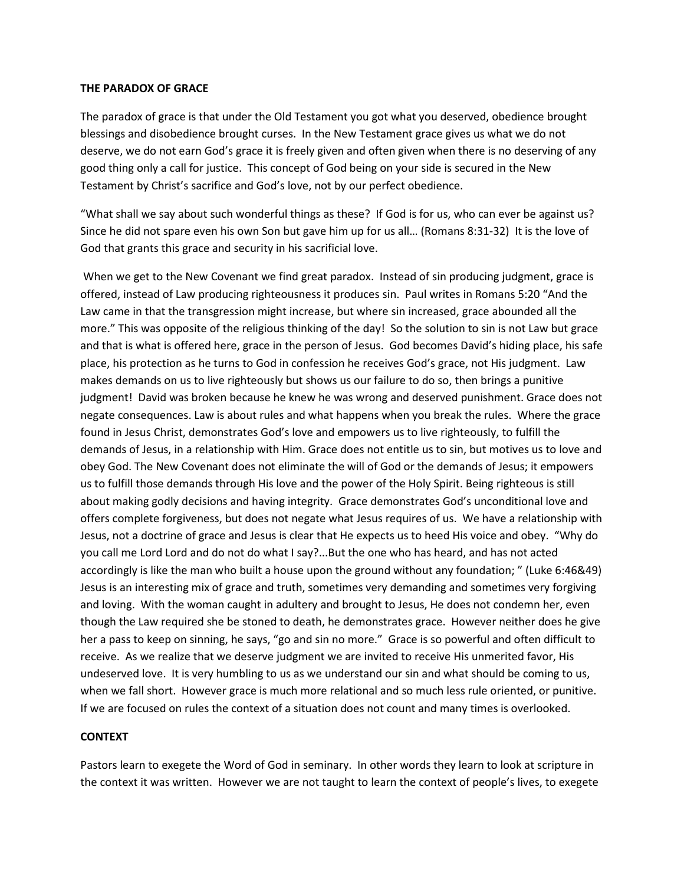#### **THE PARADOX OF GRACE**

The paradox of grace is that under the Old Testament you got what you deserved, obedience brought blessings and disobedience brought curses. In the New Testament grace gives us what we do not deserve, we do not earn God's grace it is freely given and often given when there is no deserving of any good thing only a call for justice. This concept of God being on your side is secured in the New Testament by Christ's sacrifice and God's love, not by our perfect obedience.

"What shall we say about such wonderful things as these? If God is for us, who can ever be against us? Since he did not spare even his own Son but gave him up for us all… (Romans 8:31-32) It is the love of God that grants this grace and security in his sacrificial love.

 When we get to the New Covenant we find great paradox. Instead of sin producing judgment, grace is offered, instead of Law producing righteousness it produces sin. Paul writes in Romans 5:20 "And the Law came in that the transgression might increase, but where sin increased, grace abounded all the more." This was opposite of the religious thinking of the day! So the solution to sin is not Law but grace and that is what is offered here, grace in the person of Jesus. God becomes David's hiding place, his safe place, his protection as he turns to God in confession he receives God's grace, not His judgment. Law makes demands on us to live righteously but shows us our failure to do so, then brings a punitive judgment! David was broken because he knew he was wrong and deserved punishment. Grace does not negate consequences. Law is about rules and what happens when you break the rules. Where the grace found in Jesus Christ, demonstrates God's love and empowers us to live righteously, to fulfill the demands of Jesus, in a relationship with Him. Grace does not entitle us to sin, but motives us to love and obey God. The New Covenant does not eliminate the will of God or the demands of Jesus; it empowers us to fulfill those demands through His love and the power of the Holy Spirit. Being righteous is still about making godly decisions and having integrity. Grace demonstrates God's unconditional love and offers complete forgiveness, but does not negate what Jesus requires of us. We have a relationship with Jesus, not a doctrine of grace and Jesus is clear that He expects us to heed His voice and obey. "Why do you call me Lord Lord and do not do what I say?...But the one who has heard, and has not acted accordingly is like the man who built a house upon the ground without any foundation; " (Luke 6:46&49) Jesus is an interesting mix of grace and truth, sometimes very demanding and sometimes very forgiving and loving. With the woman caught in adultery and brought to Jesus, He does not condemn her, even though the Law required she be stoned to death, he demonstrates grace. However neither does he give her a pass to keep on sinning, he says, "go and sin no more." Grace is so powerful and often difficult to receive. As we realize that we deserve judgment we are invited to receive His unmerited favor, His undeserved love. It is very humbling to us as we understand our sin and what should be coming to us, when we fall short. However grace is much more relational and so much less rule oriented, or punitive. If we are focused on rules the context of a situation does not count and many times is overlooked.

### **CONTEXT**

Pastors learn to exegete the Word of God in seminary. In other words they learn to look at scripture in the context it was written. However we are not taught to learn the context of people's lives, to exegete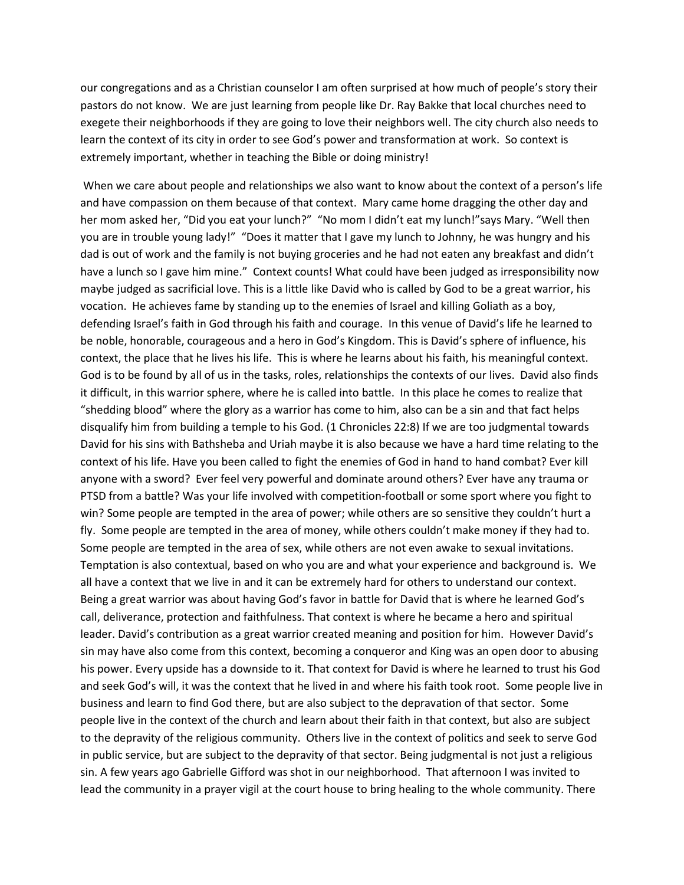our congregations and as a Christian counselor I am often surprised at how much of people's story their pastors do not know. We are just learning from people like Dr. Ray Bakke that local churches need to exegete their neighborhoods if they are going to love their neighbors well. The city church also needs to learn the context of its city in order to see God's power and transformation at work. So context is extremely important, whether in teaching the Bible or doing ministry!

 When we care about people and relationships we also want to know about the context of a person's life and have compassion on them because of that context. Mary came home dragging the other day and her mom asked her, "Did you eat your lunch?" "No mom I didn't eat my lunch!"says Mary. "Well then you are in trouble young lady!" "Does it matter that I gave my lunch to Johnny, he was hungry and his dad is out of work and the family is not buying groceries and he had not eaten any breakfast and didn't have a lunch so I gave him mine." Context counts! What could have been judged as irresponsibility now maybe judged as sacrificial love. This is a little like David who is called by God to be a great warrior, his vocation. He achieves fame by standing up to the enemies of Israel and killing Goliath as a boy, defending Israel's faith in God through his faith and courage. In this venue of David's life he learned to be noble, honorable, courageous and a hero in God's Kingdom. This is David's sphere of influence, his context, the place that he lives his life. This is where he learns about his faith, his meaningful context. God is to be found by all of us in the tasks, roles, relationships the contexts of our lives. David also finds it difficult, in this warrior sphere, where he is called into battle. In this place he comes to realize that "shedding blood" where the glory as a warrior has come to him, also can be a sin and that fact helps disqualify him from building a temple to his God. (1 Chronicles 22:8) If we are too judgmental towards David for his sins with Bathsheba and Uriah maybe it is also because we have a hard time relating to the context of his life. Have you been called to fight the enemies of God in hand to hand combat? Ever kill anyone with a sword? Ever feel very powerful and dominate around others? Ever have any trauma or PTSD from a battle? Was your life involved with competition-football or some sport where you fight to win? Some people are tempted in the area of power; while others are so sensitive they couldn't hurt a fly. Some people are tempted in the area of money, while others couldn't make money if they had to. Some people are tempted in the area of sex, while others are not even awake to sexual invitations. Temptation is also contextual, based on who you are and what your experience and background is. We all have a context that we live in and it can be extremely hard for others to understand our context. Being a great warrior was about having God's favor in battle for David that is where he learned God's call, deliverance, protection and faithfulness. That context is where he became a hero and spiritual leader. David's contribution as a great warrior created meaning and position for him. However David's sin may have also come from this context, becoming a conqueror and King was an open door to abusing his power. Every upside has a downside to it. That context for David is where he learned to trust his God and seek God's will, it was the context that he lived in and where his faith took root. Some people live in business and learn to find God there, but are also subject to the depravation of that sector. Some people live in the context of the church and learn about their faith in that context, but also are subject to the depravity of the religious community. Others live in the context of politics and seek to serve God in public service, but are subject to the depravity of that sector. Being judgmental is not just a religious sin. A few years ago Gabrielle Gifford was shot in our neighborhood. That afternoon I was invited to lead the community in a prayer vigil at the court house to bring healing to the whole community. There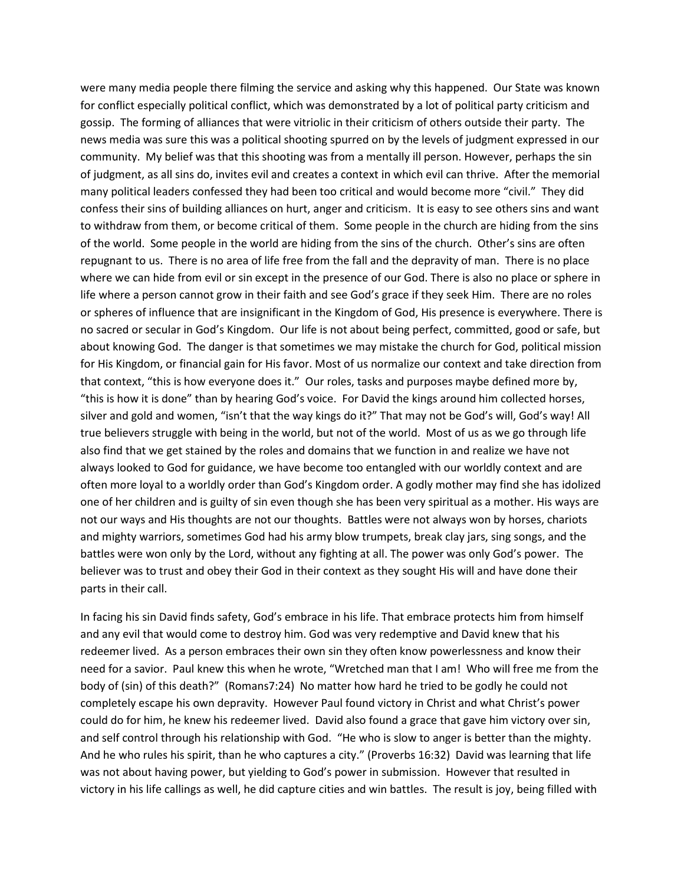were many media people there filming the service and asking why this happened. Our State was known for conflict especially political conflict, which was demonstrated by a lot of political party criticism and gossip. The forming of alliances that were vitriolic in their criticism of others outside their party. The news media was sure this was a political shooting spurred on by the levels of judgment expressed in our community. My belief was that this shooting was from a mentally ill person. However, perhaps the sin of judgment, as all sins do, invites evil and creates a context in which evil can thrive. After the memorial many political leaders confessed they had been too critical and would become more "civil." They did confess their sins of building alliances on hurt, anger and criticism. It is easy to see others sins and want to withdraw from them, or become critical of them. Some people in the church are hiding from the sins of the world. Some people in the world are hiding from the sins of the church. Other's sins are often repugnant to us. There is no area of life free from the fall and the depravity of man. There is no place where we can hide from evil or sin except in the presence of our God. There is also no place or sphere in life where a person cannot grow in their faith and see God's grace if they seek Him. There are no roles or spheres of influence that are insignificant in the Kingdom of God, His presence is everywhere. There is no sacred or secular in God's Kingdom. Our life is not about being perfect, committed, good or safe, but about knowing God. The danger is that sometimes we may mistake the church for God, political mission for His Kingdom, or financial gain for His favor. Most of us normalize our context and take direction from that context, "this is how everyone does it." Our roles, tasks and purposes maybe defined more by, "this is how it is done" than by hearing God's voice. For David the kings around him collected horses, silver and gold and women, "isn't that the way kings do it?" That may not be God's will, God's way! All true believers struggle with being in the world, but not of the world. Most of us as we go through life also find that we get stained by the roles and domains that we function in and realize we have not always looked to God for guidance, we have become too entangled with our worldly context and are often more loyal to a worldly order than God's Kingdom order. A godly mother may find she has idolized one of her children and is guilty of sin even though she has been very spiritual as a mother. His ways are not our ways and His thoughts are not our thoughts. Battles were not always won by horses, chariots and mighty warriors, sometimes God had his army blow trumpets, break clay jars, sing songs, and the battles were won only by the Lord, without any fighting at all. The power was only God's power. The believer was to trust and obey their God in their context as they sought His will and have done their parts in their call.

In facing his sin David finds safety, God's embrace in his life. That embrace protects him from himself and any evil that would come to destroy him. God was very redemptive and David knew that his redeemer lived. As a person embraces their own sin they often know powerlessness and know their need for a savior. Paul knew this when he wrote, "Wretched man that I am! Who will free me from the body of (sin) of this death?" (Romans7:24) No matter how hard he tried to be godly he could not completely escape his own depravity. However Paul found victory in Christ and what Christ's power could do for him, he knew his redeemer lived. David also found a grace that gave him victory over sin, and self control through his relationship with God. "He who is slow to anger is better than the mighty. And he who rules his spirit, than he who captures a city." (Proverbs 16:32) David was learning that life was not about having power, but yielding to God's power in submission. However that resulted in victory in his life callings as well, he did capture cities and win battles. The result is joy, being filled with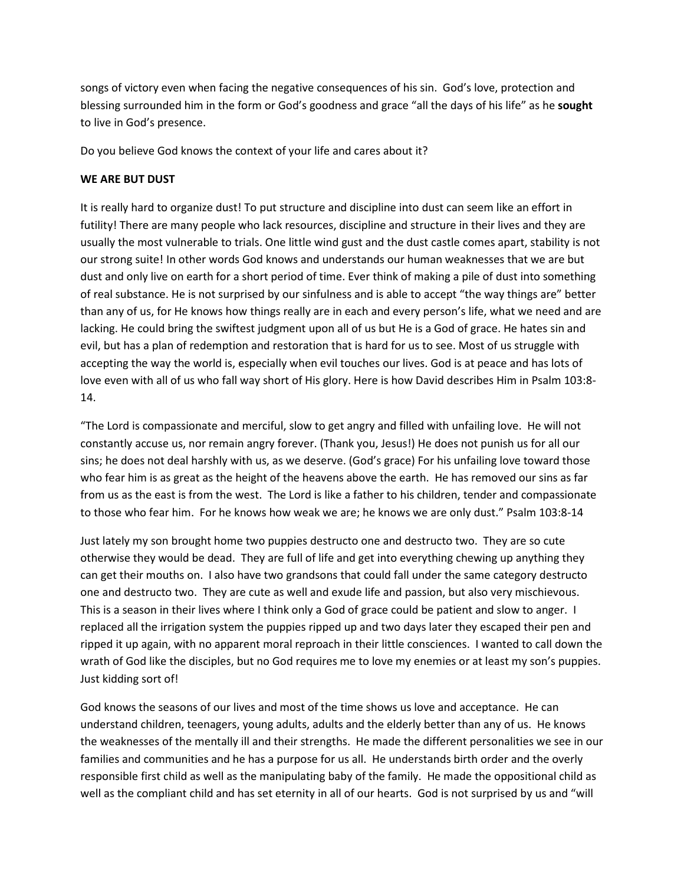songs of victory even when facing the negative consequences of his sin. God's love, protection and blessing surrounded him in the form or God's goodness and grace "all the days of his life" as he **sought** to live in God's presence.

Do you believe God knows the context of your life and cares about it?

### **WE ARE BUT DUST**

It is really hard to organize dust! To put structure and discipline into dust can seem like an effort in futility! There are many people who lack resources, discipline and structure in their lives and they are usually the most vulnerable to trials. One little wind gust and the dust castle comes apart, stability is not our strong suite! In other words God knows and understands our human weaknesses that we are but dust and only live on earth for a short period of time. Ever think of making a pile of dust into something of real substance. He is not surprised by our sinfulness and is able to accept "the way things are" better than any of us, for He knows how things really are in each and every person's life, what we need and are lacking. He could bring the swiftest judgment upon all of us but He is a God of grace. He hates sin and evil, but has a plan of redemption and restoration that is hard for us to see. Most of us struggle with accepting the way the world is, especially when evil touches our lives. God is at peace and has lots of love even with all of us who fall way short of His glory. Here is how David describes Him in Psalm 103:8- 14.

"The Lord is compassionate and merciful, slow to get angry and filled with unfailing love. He will not constantly accuse us, nor remain angry forever. (Thank you, Jesus!) He does not punish us for all our sins; he does not deal harshly with us, as we deserve. (God's grace) For his unfailing love toward those who fear him is as great as the height of the heavens above the earth. He has removed our sins as far from us as the east is from the west. The Lord is like a father to his children, tender and compassionate to those who fear him. For he knows how weak we are; he knows we are only dust." Psalm 103:8-14

Just lately my son brought home two puppies destructo one and destructo two. They are so cute otherwise they would be dead. They are full of life and get into everything chewing up anything they can get their mouths on. I also have two grandsons that could fall under the same category destructo one and destructo two. They are cute as well and exude life and passion, but also very mischievous. This is a season in their lives where I think only a God of grace could be patient and slow to anger. I replaced all the irrigation system the puppies ripped up and two days later they escaped their pen and ripped it up again, with no apparent moral reproach in their little consciences. I wanted to call down the wrath of God like the disciples, but no God requires me to love my enemies or at least my son's puppies. Just kidding sort of!

God knows the seasons of our lives and most of the time shows us love and acceptance. He can understand children, teenagers, young adults, adults and the elderly better than any of us. He knows the weaknesses of the mentally ill and their strengths. He made the different personalities we see in our families and communities and he has a purpose for us all. He understands birth order and the overly responsible first child as well as the manipulating baby of the family. He made the oppositional child as well as the compliant child and has set eternity in all of our hearts. God is not surprised by us and "will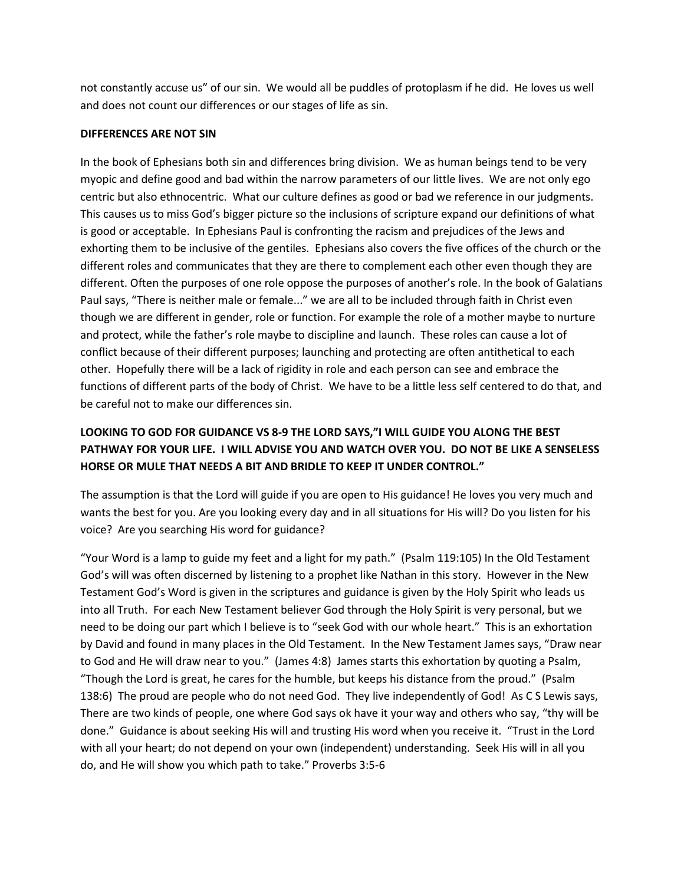not constantly accuse us" of our sin. We would all be puddles of protoplasm if he did. He loves us well and does not count our differences or our stages of life as sin.

#### **DIFFERENCES ARE NOT SIN**

In the book of Ephesians both sin and differences bring division. We as human beings tend to be very myopic and define good and bad within the narrow parameters of our little lives. We are not only ego centric but also ethnocentric. What our culture defines as good or bad we reference in our judgments. This causes us to miss God's bigger picture so the inclusions of scripture expand our definitions of what is good or acceptable. In Ephesians Paul is confronting the racism and prejudices of the Jews and exhorting them to be inclusive of the gentiles. Ephesians also covers the five offices of the church or the different roles and communicates that they are there to complement each other even though they are different. Often the purposes of one role oppose the purposes of another's role. In the book of Galatians Paul says, "There is neither male or female..." we are all to be included through faith in Christ even though we are different in gender, role or function. For example the role of a mother maybe to nurture and protect, while the father's role maybe to discipline and launch. These roles can cause a lot of conflict because of their different purposes; launching and protecting are often antithetical to each other. Hopefully there will be a lack of rigidity in role and each person can see and embrace the functions of different parts of the body of Christ. We have to be a little less self centered to do that, and be careful not to make our differences sin.

# **LOOKING TO GOD FOR GUIDANCE VS 8-9 THE LORD SAYS,"I WILL GUIDE YOU ALONG THE BEST PATHWAY FOR YOUR LIFE. I WILL ADVISE YOU AND WATCH OVER YOU. DO NOT BE LIKE A SENSELESS HORSE OR MULE THAT NEEDS A BIT AND BRIDLE TO KEEP IT UNDER CONTROL."**

The assumption is that the Lord will guide if you are open to His guidance! He loves you very much and wants the best for you. Are you looking every day and in all situations for His will? Do you listen for his voice? Are you searching His word for guidance?

"Your Word is a lamp to guide my feet and a light for my path." (Psalm 119:105) In the Old Testament God's will was often discerned by listening to a prophet like Nathan in this story. However in the New Testament God's Word is given in the scriptures and guidance is given by the Holy Spirit who leads us into all Truth. For each New Testament believer God through the Holy Spirit is very personal, but we need to be doing our part which I believe is to "seek God with our whole heart." This is an exhortation by David and found in many places in the Old Testament. In the New Testament James says, "Draw near to God and He will draw near to you." (James 4:8) James starts this exhortation by quoting a Psalm, "Though the Lord is great, he cares for the humble, but keeps his distance from the proud." (Psalm 138:6) The proud are people who do not need God. They live independently of God! As C S Lewis says, There are two kinds of people, one where God says ok have it your way and others who say, "thy will be done." Guidance is about seeking His will and trusting His word when you receive it. "Trust in the Lord with all your heart; do not depend on your own (independent) understanding. Seek His will in all you do, and He will show you which path to take." Proverbs 3:5-6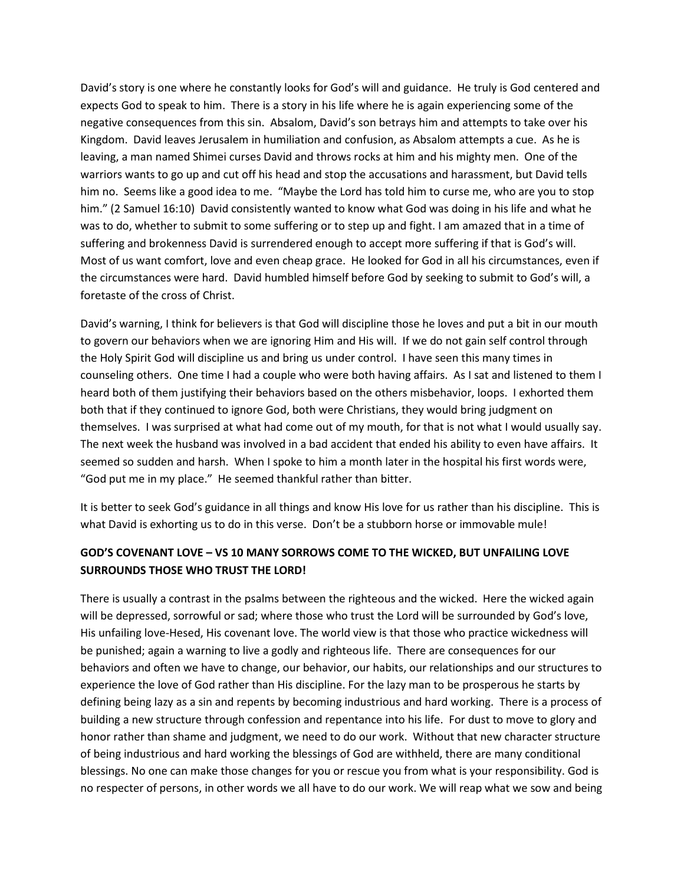David's story is one where he constantly looks for God's will and guidance. He truly is God centered and expects God to speak to him. There is a story in his life where he is again experiencing some of the negative consequences from this sin. Absalom, David's son betrays him and attempts to take over his Kingdom. David leaves Jerusalem in humiliation and confusion, as Absalom attempts a cue. As he is leaving, a man named Shimei curses David and throws rocks at him and his mighty men. One of the warriors wants to go up and cut off his head and stop the accusations and harassment, but David tells him no. Seems like a good idea to me. "Maybe the Lord has told him to curse me, who are you to stop him." (2 Samuel 16:10) David consistently wanted to know what God was doing in his life and what he was to do, whether to submit to some suffering or to step up and fight. I am amazed that in a time of suffering and brokenness David is surrendered enough to accept more suffering if that is God's will. Most of us want comfort, love and even cheap grace. He looked for God in all his circumstances, even if the circumstances were hard. David humbled himself before God by seeking to submit to God's will, a foretaste of the cross of Christ.

David's warning, I think for believers is that God will discipline those he loves and put a bit in our mouth to govern our behaviors when we are ignoring Him and His will. If we do not gain self control through the Holy Spirit God will discipline us and bring us under control. I have seen this many times in counseling others. One time I had a couple who were both having affairs. As I sat and listened to them I heard both of them justifying their behaviors based on the others misbehavior, loops. I exhorted them both that if they continued to ignore God, both were Christians, they would bring judgment on themselves. I was surprised at what had come out of my mouth, for that is not what I would usually say. The next week the husband was involved in a bad accident that ended his ability to even have affairs. It seemed so sudden and harsh. When I spoke to him a month later in the hospital his first words were, "God put me in my place." He seemed thankful rather than bitter.

It is better to seek God's guidance in all things and know His love for us rather than his discipline. This is what David is exhorting us to do in this verse. Don't be a stubborn horse or immovable mule!

# **GOD'S COVENANT LOVE – VS 10 MANY SORROWS COME TO THE WICKED, BUT UNFAILING LOVE SURROUNDS THOSE WHO TRUST THE LORD!**

There is usually a contrast in the psalms between the righteous and the wicked. Here the wicked again will be depressed, sorrowful or sad; where those who trust the Lord will be surrounded by God's love, His unfailing love-Hesed, His covenant love. The world view is that those who practice wickedness will be punished; again a warning to live a godly and righteous life. There are consequences for our behaviors and often we have to change, our behavior, our habits, our relationships and our structures to experience the love of God rather than His discipline. For the lazy man to be prosperous he starts by defining being lazy as a sin and repents by becoming industrious and hard working. There is a process of building a new structure through confession and repentance into his life. For dust to move to glory and honor rather than shame and judgment, we need to do our work. Without that new character structure of being industrious and hard working the blessings of God are withheld, there are many conditional blessings. No one can make those changes for you or rescue you from what is your responsibility. God is no respecter of persons, in other words we all have to do our work. We will reap what we sow and being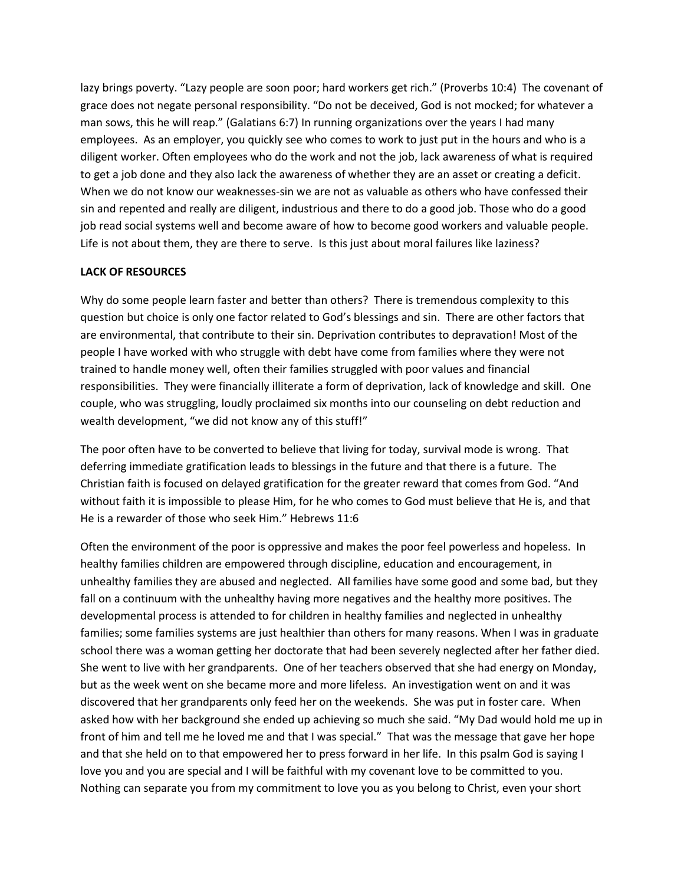lazy brings poverty. "Lazy people are soon poor; hard workers get rich." (Proverbs 10:4) The covenant of grace does not negate personal responsibility. "Do not be deceived, God is not mocked; for whatever a man sows, this he will reap." (Galatians 6:7) In running organizations over the years I had many employees. As an employer, you quickly see who comes to work to just put in the hours and who is a diligent worker. Often employees who do the work and not the job, lack awareness of what is required to get a job done and they also lack the awareness of whether they are an asset or creating a deficit. When we do not know our weaknesses-sin we are not as valuable as others who have confessed their sin and repented and really are diligent, industrious and there to do a good job. Those who do a good job read social systems well and become aware of how to become good workers and valuable people. Life is not about them, they are there to serve. Is this just about moral failures like laziness?

## **LACK OF RESOURCES**

Why do some people learn faster and better than others? There is tremendous complexity to this question but choice is only one factor related to God's blessings and sin. There are other factors that are environmental, that contribute to their sin. Deprivation contributes to depravation! Most of the people I have worked with who struggle with debt have come from families where they were not trained to handle money well, often their families struggled with poor values and financial responsibilities. They were financially illiterate a form of deprivation, lack of knowledge and skill. One couple, who was struggling, loudly proclaimed six months into our counseling on debt reduction and wealth development, "we did not know any of this stuff!"

The poor often have to be converted to believe that living for today, survival mode is wrong. That deferring immediate gratification leads to blessings in the future and that there is a future. The Christian faith is focused on delayed gratification for the greater reward that comes from God. "And without faith it is impossible to please Him, for he who comes to God must believe that He is, and that He is a rewarder of those who seek Him." Hebrews 11:6

Often the environment of the poor is oppressive and makes the poor feel powerless and hopeless. In healthy families children are empowered through discipline, education and encouragement, in unhealthy families they are abused and neglected. All families have some good and some bad, but they fall on a continuum with the unhealthy having more negatives and the healthy more positives. The developmental process is attended to for children in healthy families and neglected in unhealthy families; some families systems are just healthier than others for many reasons. When I was in graduate school there was a woman getting her doctorate that had been severely neglected after her father died. She went to live with her grandparents. One of her teachers observed that she had energy on Monday, but as the week went on she became more and more lifeless. An investigation went on and it was discovered that her grandparents only feed her on the weekends. She was put in foster care. When asked how with her background she ended up achieving so much she said. "My Dad would hold me up in front of him and tell me he loved me and that I was special." That was the message that gave her hope and that she held on to that empowered her to press forward in her life. In this psalm God is saying I love you and you are special and I will be faithful with my covenant love to be committed to you. Nothing can separate you from my commitment to love you as you belong to Christ, even your short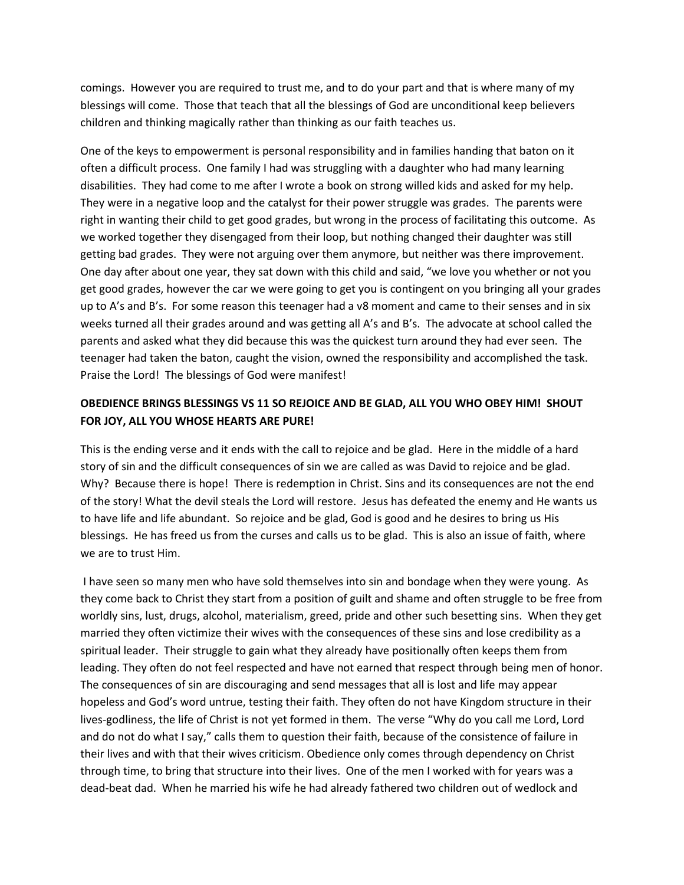comings. However you are required to trust me, and to do your part and that is where many of my blessings will come. Those that teach that all the blessings of God are unconditional keep believers children and thinking magically rather than thinking as our faith teaches us.

One of the keys to empowerment is personal responsibility and in families handing that baton on it often a difficult process. One family I had was struggling with a daughter who had many learning disabilities. They had come to me after I wrote a book on strong willed kids and asked for my help. They were in a negative loop and the catalyst for their power struggle was grades. The parents were right in wanting their child to get good grades, but wrong in the process of facilitating this outcome. As we worked together they disengaged from their loop, but nothing changed their daughter was still getting bad grades. They were not arguing over them anymore, but neither was there improvement. One day after about one year, they sat down with this child and said, "we love you whether or not you get good grades, however the car we were going to get you is contingent on you bringing all your grades up to A's and B's. For some reason this teenager had a v8 moment and came to their senses and in six weeks turned all their grades around and was getting all A's and B's. The advocate at school called the parents and asked what they did because this was the quickest turn around they had ever seen. The teenager had taken the baton, caught the vision, owned the responsibility and accomplished the task. Praise the Lord! The blessings of God were manifest!

# **OBEDIENCE BRINGS BLESSINGS VS 11 SO REJOICE AND BE GLAD, ALL YOU WHO OBEY HIM! SHOUT FOR JOY, ALL YOU WHOSE HEARTS ARE PURE!**

This is the ending verse and it ends with the call to rejoice and be glad. Here in the middle of a hard story of sin and the difficult consequences of sin we are called as was David to rejoice and be glad. Why? Because there is hope! There is redemption in Christ. Sins and its consequences are not the end of the story! What the devil steals the Lord will restore. Jesus has defeated the enemy and He wants us to have life and life abundant. So rejoice and be glad, God is good and he desires to bring us His blessings. He has freed us from the curses and calls us to be glad. This is also an issue of faith, where we are to trust Him.

 I have seen so many men who have sold themselves into sin and bondage when they were young. As they come back to Christ they start from a position of guilt and shame and often struggle to be free from worldly sins, lust, drugs, alcohol, materialism, greed, pride and other such besetting sins. When they get married they often victimize their wives with the consequences of these sins and lose credibility as a spiritual leader. Their struggle to gain what they already have positionally often keeps them from leading. They often do not feel respected and have not earned that respect through being men of honor. The consequences of sin are discouraging and send messages that all is lost and life may appear hopeless and God's word untrue, testing their faith. They often do not have Kingdom structure in their lives-godliness, the life of Christ is not yet formed in them. The verse "Why do you call me Lord, Lord and do not do what I say," calls them to question their faith, because of the consistence of failure in their lives and with that their wives criticism. Obedience only comes through dependency on Christ through time, to bring that structure into their lives. One of the men I worked with for years was a dead-beat dad. When he married his wife he had already fathered two children out of wedlock and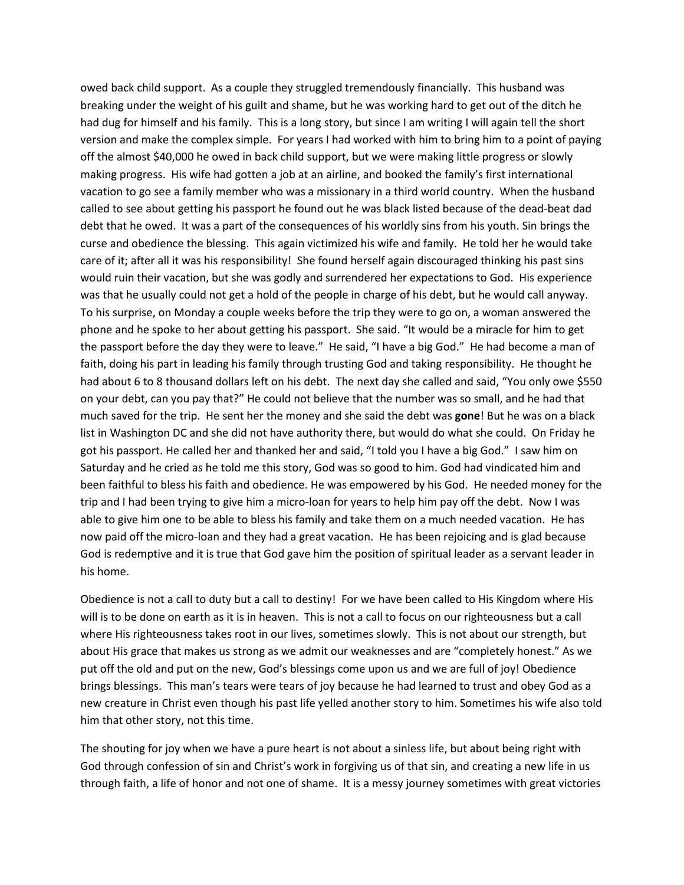owed back child support. As a couple they struggled tremendously financially. This husband was breaking under the weight of his guilt and shame, but he was working hard to get out of the ditch he had dug for himself and his family. This is a long story, but since I am writing I will again tell the short version and make the complex simple. For years I had worked with him to bring him to a point of paying off the almost \$40,000 he owed in back child support, but we were making little progress or slowly making progress. His wife had gotten a job at an airline, and booked the family's first international vacation to go see a family member who was a missionary in a third world country. When the husband called to see about getting his passport he found out he was black listed because of the dead-beat dad debt that he owed. It was a part of the consequences of his worldly sins from his youth. Sin brings the curse and obedience the blessing. This again victimized his wife and family. He told her he would take care of it; after all it was his responsibility! She found herself again discouraged thinking his past sins would ruin their vacation, but she was godly and surrendered her expectations to God. His experience was that he usually could not get a hold of the people in charge of his debt, but he would call anyway. To his surprise, on Monday a couple weeks before the trip they were to go on, a woman answered the phone and he spoke to her about getting his passport. She said. "It would be a miracle for him to get the passport before the day they were to leave." He said, "I have a big God." He had become a man of faith, doing his part in leading his family through trusting God and taking responsibility. He thought he had about 6 to 8 thousand dollars left on his debt. The next day she called and said, "You only owe \$550 on your debt, can you pay that?" He could not believe that the number was so small, and he had that much saved for the trip. He sent her the money and she said the debt was **gone**! But he was on a black list in Washington DC and she did not have authority there, but would do what she could. On Friday he got his passport. He called her and thanked her and said, "I told you I have a big God." I saw him on Saturday and he cried as he told me this story, God was so good to him. God had vindicated him and been faithful to bless his faith and obedience. He was empowered by his God. He needed money for the trip and I had been trying to give him a micro-loan for years to help him pay off the debt. Now I was able to give him one to be able to bless his family and take them on a much needed vacation. He has now paid off the micro-loan and they had a great vacation. He has been rejoicing and is glad because God is redemptive and it is true that God gave him the position of spiritual leader as a servant leader in his home.

Obedience is not a call to duty but a call to destiny! For we have been called to His Kingdom where His will is to be done on earth as it is in heaven. This is not a call to focus on our righteousness but a call where His righteousness takes root in our lives, sometimes slowly. This is not about our strength, but about His grace that makes us strong as we admit our weaknesses and are "completely honest." As we put off the old and put on the new, God's blessings come upon us and we are full of joy! Obedience brings blessings. This man's tears were tears of joy because he had learned to trust and obey God as a new creature in Christ even though his past life yelled another story to him. Sometimes his wife also told him that other story, not this time.

The shouting for joy when we have a pure heart is not about a sinless life, but about being right with God through confession of sin and Christ's work in forgiving us of that sin, and creating a new life in us through faith, a life of honor and not one of shame. It is a messy journey sometimes with great victories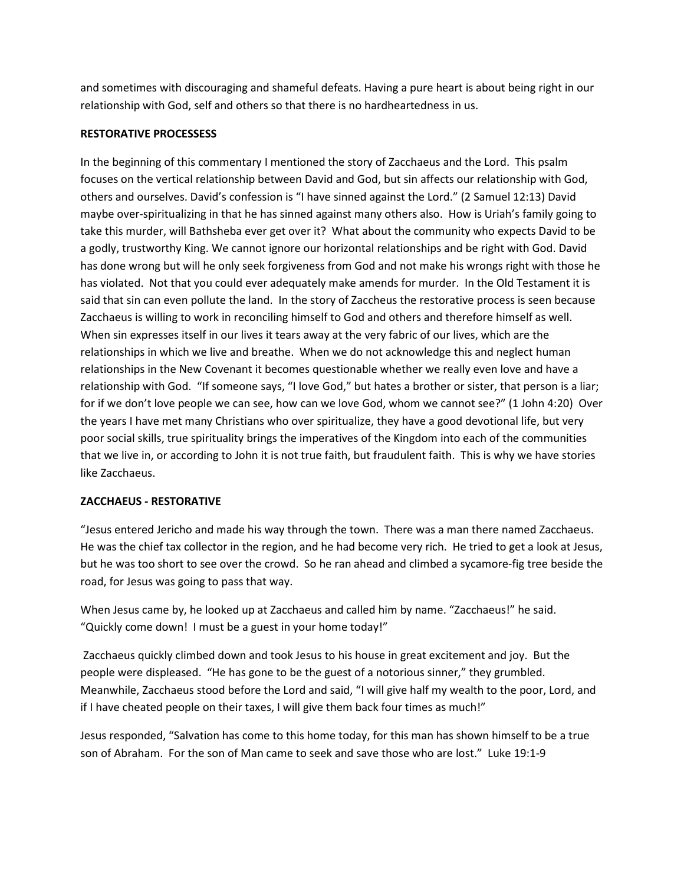and sometimes with discouraging and shameful defeats. Having a pure heart is about being right in our relationship with God, self and others so that there is no hardheartedness in us.

### **RESTORATIVE PROCESSESS**

In the beginning of this commentary I mentioned the story of Zacchaeus and the Lord. This psalm focuses on the vertical relationship between David and God, but sin affects our relationship with God, others and ourselves. David's confession is "I have sinned against the Lord." (2 Samuel 12:13) David maybe over-spiritualizing in that he has sinned against many others also. How is Uriah's family going to take this murder, will Bathsheba ever get over it? What about the community who expects David to be a godly, trustworthy King. We cannot ignore our horizontal relationships and be right with God. David has done wrong but will he only seek forgiveness from God and not make his wrongs right with those he has violated. Not that you could ever adequately make amends for murder. In the Old Testament it is said that sin can even pollute the land. In the story of Zaccheus the restorative process is seen because Zacchaeus is willing to work in reconciling himself to God and others and therefore himself as well. When sin expresses itself in our lives it tears away at the very fabric of our lives, which are the relationships in which we live and breathe. When we do not acknowledge this and neglect human relationships in the New Covenant it becomes questionable whether we really even love and have a relationship with God. "If someone says, "I love God," but hates a brother or sister, that person is a liar; for if we don't love people we can see, how can we love God, whom we cannot see?" (1 John 4:20) Over the years I have met many Christians who over spiritualize, they have a good devotional life, but very poor social skills, true spirituality brings the imperatives of the Kingdom into each of the communities that we live in, or according to John it is not true faith, but fraudulent faith. This is why we have stories like Zacchaeus.

### **ZACCHAEUS - RESTORATIVE**

"Jesus entered Jericho and made his way through the town. There was a man there named Zacchaeus. He was the chief tax collector in the region, and he had become very rich. He tried to get a look at Jesus, but he was too short to see over the crowd. So he ran ahead and climbed a sycamore-fig tree beside the road, for Jesus was going to pass that way.

When Jesus came by, he looked up at Zacchaeus and called him by name. "Zacchaeus!" he said. "Quickly come down! I must be a guest in your home today!"

 Zacchaeus quickly climbed down and took Jesus to his house in great excitement and joy. But the people were displeased. "He has gone to be the guest of a notorious sinner," they grumbled. Meanwhile, Zacchaeus stood before the Lord and said, "I will give half my wealth to the poor, Lord, and if I have cheated people on their taxes, I will give them back four times as much!"

Jesus responded, "Salvation has come to this home today, for this man has shown himself to be a true son of Abraham. For the son of Man came to seek and save those who are lost." Luke 19:1-9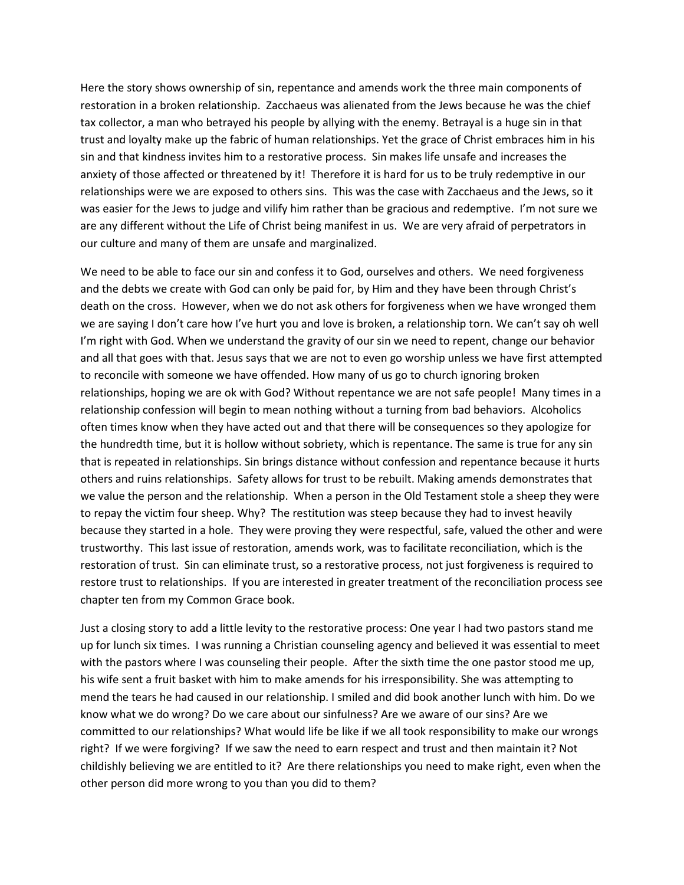Here the story shows ownership of sin, repentance and amends work the three main components of restoration in a broken relationship. Zacchaeus was alienated from the Jews because he was the chief tax collector, a man who betrayed his people by allying with the enemy. Betrayal is a huge sin in that trust and loyalty make up the fabric of human relationships. Yet the grace of Christ embraces him in his sin and that kindness invites him to a restorative process. Sin makes life unsafe and increases the anxiety of those affected or threatened by it! Therefore it is hard for us to be truly redemptive in our relationships were we are exposed to others sins. This was the case with Zacchaeus and the Jews, so it was easier for the Jews to judge and vilify him rather than be gracious and redemptive. I'm not sure we are any different without the Life of Christ being manifest in us. We are very afraid of perpetrators in our culture and many of them are unsafe and marginalized.

We need to be able to face our sin and confess it to God, ourselves and others. We need forgiveness and the debts we create with God can only be paid for, by Him and they have been through Christ's death on the cross. However, when we do not ask others for forgiveness when we have wronged them we are saying I don't care how I've hurt you and love is broken, a relationship torn. We can't say oh well I'm right with God. When we understand the gravity of our sin we need to repent, change our behavior and all that goes with that. Jesus says that we are not to even go worship unless we have first attempted to reconcile with someone we have offended. How many of us go to church ignoring broken relationships, hoping we are ok with God? Without repentance we are not safe people! Many times in a relationship confession will begin to mean nothing without a turning from bad behaviors. Alcoholics often times know when they have acted out and that there will be consequences so they apologize for the hundredth time, but it is hollow without sobriety, which is repentance. The same is true for any sin that is repeated in relationships. Sin brings distance without confession and repentance because it hurts others and ruins relationships. Safety allows for trust to be rebuilt. Making amends demonstrates that we value the person and the relationship. When a person in the Old Testament stole a sheep they were to repay the victim four sheep. Why? The restitution was steep because they had to invest heavily because they started in a hole. They were proving they were respectful, safe, valued the other and were trustworthy. This last issue of restoration, amends work, was to facilitate reconciliation, which is the restoration of trust. Sin can eliminate trust, so a restorative process, not just forgiveness is required to restore trust to relationships. If you are interested in greater treatment of the reconciliation process see chapter ten from my Common Grace book.

Just a closing story to add a little levity to the restorative process: One year I had two pastors stand me up for lunch six times. I was running a Christian counseling agency and believed it was essential to meet with the pastors where I was counseling their people. After the sixth time the one pastor stood me up, his wife sent a fruit basket with him to make amends for his irresponsibility. She was attempting to mend the tears he had caused in our relationship. I smiled and did book another lunch with him. Do we know what we do wrong? Do we care about our sinfulness? Are we aware of our sins? Are we committed to our relationships? What would life be like if we all took responsibility to make our wrongs right? If we were forgiving? If we saw the need to earn respect and trust and then maintain it? Not childishly believing we are entitled to it? Are there relationships you need to make right, even when the other person did more wrong to you than you did to them?